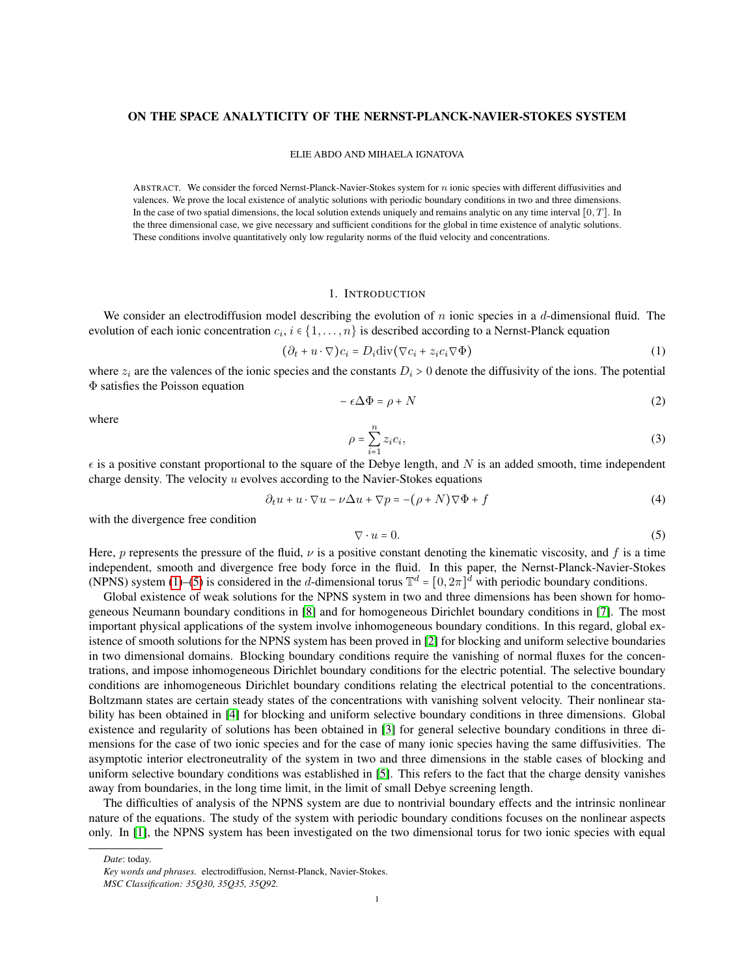## ON THE SPACE ANALYTICITY OF THE NERNST-PLANCK-NAVIER-STOKES SYSTEM

#### ELIE ABDO AND MIHAELA IGNATOVA

ABSTRACT. We consider the forced Nernst-Planck-Navier-Stokes system for  $n$  ionic species with different diffusivities and valences. We prove the local existence of analytic solutions with periodic boundary conditions in two and three dimensions. In the case of two spatial dimensions, the local solution extends uniquely and remains analytic on any time interval  $[0, T]$ . In the three dimensional case, we give necessary and sufficient conditions for the global in time existence of analytic solutions. These conditions involve quantitatively only low regularity norms of the fluid velocity and concentrations.

#### 1. INTRODUCTION

We consider an electrodiffusion model describing the evolution of  $n$  ionic species in a  $d$ -dimensional fluid. The evolution of each ionic concentration  $c_i$ ,  $i \in \{1, ..., n\}$  is described according to a Nernst-Planck equation

<span id="page-0-0"></span>
$$
(\partial_t + u \cdot \nabla)c_i = D_i \text{div}(\nabla c_i + z_i c_i \nabla \Phi)
$$
 (1)

where  $z_i$  are the valences of the ionic species and the constants  $D_i > 0$  denote the diffusivity of the ions. The potential Φ satisfies the Poisson equation

$$
-\epsilon \Delta \Phi = \rho + N \tag{2}
$$

where

$$
\rho = \sum_{i=1}^{n} z_i c_i,\tag{3}
$$

 $\epsilon$  is a positive constant proportional to the square of the Debye length, and N is an added smooth, time independent charge density. The velocity  $u$  evolves according to the Navier-Stokes equations

$$
\partial_t u + u \cdot \nabla u - \nu \Delta u + \nabla p = -(\rho + N) \nabla \Phi + f \tag{4}
$$

with the divergence free condition

<span id="page-0-1"></span>
$$
\nabla \cdot u = 0. \tag{5}
$$

Here, p represents the pressure of the fluid,  $\nu$  is a positive constant denoting the kinematic viscosity, and f is a time independent, smooth and divergence free body force in the fluid. In this paper, the Nernst-Planck-Navier-Stokes (NPNS) system [\(1\)](#page-0-0)–[\(5\)](#page-0-1) is considered in the d-dimensional torus  $\mathbb{T}^d = [0, 2\pi]^d$  with periodic boundary conditions.

Global existence of weak solutions for the NPNS system in two and three dimensions has been shown for homogeneous Neumann boundary conditions in [\[8\]](#page-18-0) and for homogeneous Dirichlet boundary conditions in [\[7\]](#page-18-1). The most important physical applications of the system involve inhomogeneous boundary conditions. In this regard, global existence of smooth solutions for the NPNS system has been proved in [\[2\]](#page-18-2) for blocking and uniform selective boundaries in two dimensional domains. Blocking boundary conditions require the vanishing of normal fluxes for the concentrations, and impose inhomogeneous Dirichlet boundary conditions for the electric potential. The selective boundary conditions are inhomogeneous Dirichlet boundary conditions relating the electrical potential to the concentrations. Boltzmann states are certain steady states of the concentrations with vanishing solvent velocity. Their nonlinear stability has been obtained in [\[4\]](#page-18-3) for blocking and uniform selective boundary conditions in three dimensions. Global existence and regularity of solutions has been obtained in [\[3\]](#page-18-4) for general selective boundary conditions in three dimensions for the case of two ionic species and for the case of many ionic species having the same diffusivities. The asymptotic interior electroneutrality of the system in two and three dimensions in the stable cases of blocking and uniform selective boundary conditions was established in [\[5\]](#page-18-5). This refers to the fact that the charge density vanishes away from boundaries, in the long time limit, in the limit of small Debye screening length.

The difficulties of analysis of the NPNS system are due to nontrivial boundary effects and the intrinsic nonlinear nature of the equations. The study of the system with periodic boundary conditions focuses on the nonlinear aspects only. In [\[1\]](#page-18-6), the NPNS system has been investigated on the two dimensional torus for two ionic species with equal

*Date*: today.

*Key words and phrases.* electrodiffusion, Nernst-Planck, Navier-Stokes.

*MSC Classification: 35Q30, 35Q35, 35Q92.*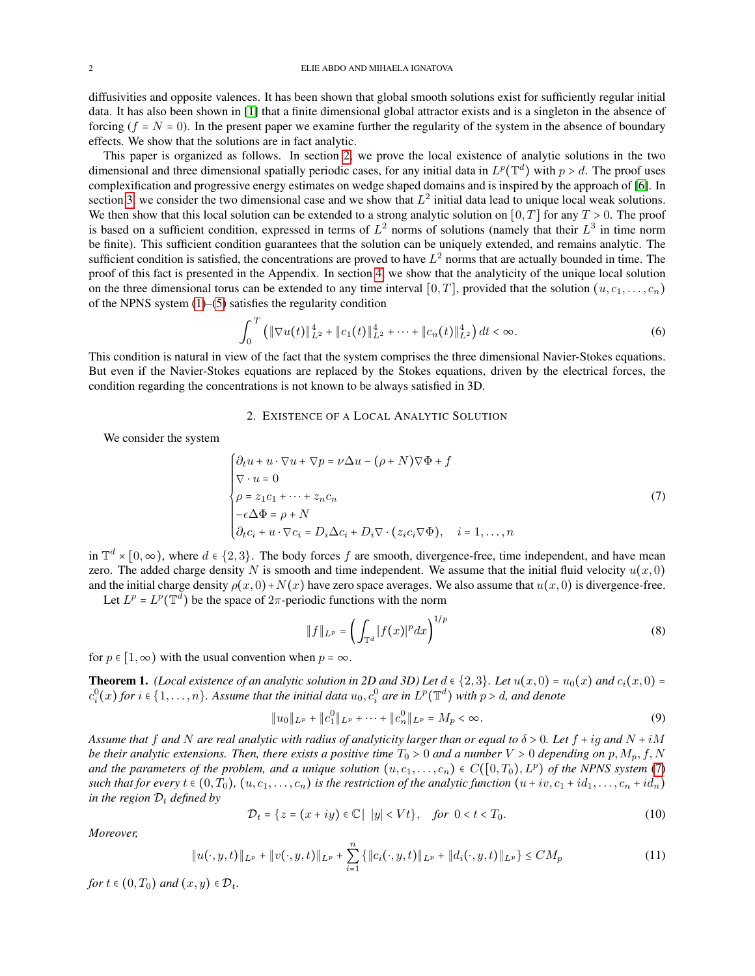diffusivities and opposite valences. It has been shown that global smooth solutions exist for sufficiently regular initial data. It has also been shown in [\[1\]](#page-18-6) that a finite dimensional global attractor exists and is a singleton in the absence of forcing ( $f = N = 0$ ). In the present paper we examine further the regularity of the system in the absence of boundary effects. We show that the solutions are in fact analytic.

This paper is organized as follows. In section [2,](#page-1-0) we prove the local existence of analytic solutions in the two dimensional and three dimensional spatially periodic cases, for any initial data in  $L^p(\mathbb{T}^d)$  with  $p > d$ . The proof uses complexification and progressive energy estimates on wedge shaped domains and is inspired by the approach of [\[6\]](#page-18-7). In section [3,](#page-8-0) we consider the two dimensional case and we show that  $L^2$  initial data lead to unique local weak solutions. We then show that this local solution can be extended to a strong analytic solution on  $[0, T]$  for any  $T > 0$ . The proof is based on a sufficient condition, expressed in terms of  $L^2$  norms of solutions (namely that their  $L^3$  in time norm be finite). This sufficient condition guarantees that the solution can be uniquely extended, and remains analytic. The sufficient condition is satisfied, the concentrations are proved to have  $L^2$  norms that are actually bounded in time. The proof of this fact is presented in the Appendix. In section [4,](#page-12-0) we show that the analyticity of the unique local solution on the three dimensional torus can be extended to any time interval  $[0, T]$ , provided that the solution  $(u, c_1, \ldots, c_n)$ of the NPNS system [\(1\)](#page-0-0)–[\(5\)](#page-0-1) satisfies the regularity condition

$$
\int_0^T \left( \|\nabla u(t)\|_{L^2}^4 + \|c_1(t)\|_{L^2}^4 + \dots + \|c_n(t)\|_{L^2}^4 \right) dt < \infty. \tag{6}
$$

This condition is natural in view of the fact that the system comprises the three dimensional Navier-Stokes equations. But even if the Navier-Stokes equations are replaced by the Stokes equations, driven by the electrical forces, the condition regarding the concentrations is not known to be always satisfied in 3D.

## 2. EXISTENCE OF A LOCAL ANALYTIC SOLUTION

<span id="page-1-0"></span>We consider the system

<span id="page-1-1"></span>
$$
\begin{cases}\n\partial_t u + u \cdot \nabla u + \nabla p = \nu \Delta u - (\rho + N) \nabla \Phi + f \\
\nabla \cdot u = 0 \\
\rho = z_1 c_1 + \dots + z_n c_n \\
-\epsilon \Delta \Phi = \rho + N \\
\partial_t c_i + u \cdot \nabla c_i = D_i \Delta c_i + D_i \nabla \cdot (z_i c_i \nabla \Phi), \quad i = 1, \dots, n\n\end{cases} (7)
$$

in  $\mathbb{T}^d \times [0, \infty)$ , where  $d \in \{2, 3\}$ . The body forces f are smooth, divergence-free, time independent, and have mean zero. The added charge density N is smooth and time independent. We assume that the initial fluid velocity  $u(x, 0)$ and the initial charge density  $\rho(x, 0) + N(x)$  have zero space averages. We also assume that  $u(x, 0)$  is divergence-free.

Let  $L^p = L^p(\mathbb{T}^d)$  be the space of  $2\pi$ -periodic functions with the norm

$$
||f||_{L^{p}} = \left(\int_{\mathbb{T}^d} |f(x)|^p dx\right)^{1/p} \tag{8}
$$

for  $p \in [1, \infty)$  with the usual convention when  $p = \infty$ .

<span id="page-1-2"></span>**Theorem 1.** *(Local existence of an analytic solution in 2D and 3D) Let*  $d \in \{2,3\}$ *. Let*  $u(x,0) = u_0(x)$  *and*  $c_i(x,0) =$  $c_i^0(x)$  for  $i \in \{1, \ldots, n\}$ . Assume that the initial data  $u_0, c_i^0$  are in  $L^p(\mathbb{T}^d)$  with  $p > d$ , and denote

$$
||u_0||_{L^p} + ||c_1^0||_{L^p} + \dots + ||c_n^0||_{L^p} = M_p < \infty. \tag{9}
$$

*Assume that* f and N are real analytic with radius of analyticity larger than or equal to  $\delta > 0$ . Let  $f + ig$  and  $N + iM$ *be their analytic extensions. Then, there exists a positive time*  $T_0 > 0$  *and a number*  $V > 0$  *depending on*  $p, M_p, f, N$ *and the parameters of the problem, and a unique solution*  $(u, c_1, \ldots, c_n) \in C([0, T_0), L^p)$  *of the NPNS system* [\(7\)](#page-1-1) *such that for every*  $t \in (0, T_0)$ ,  $(u, c_1, \ldots, c_n)$  *is the restriction of the analytic function*  $(u + iv, c_1 + id_1, \ldots, c_n + id_n)$ *in the region*  $D_t$  *defined by* 

$$
\mathcal{D}_t = \{ z = (x + iy) \in \mathbb{C} \mid |y| < Vt \}, \quad \text{for } 0 < t < T_0. \tag{10}
$$

*Moreover,*

$$
||u(\cdot, y, t)||_{L^p} + ||v(\cdot, y, t)||_{L^p} + \sum_{i=1}^n \{||c_i(\cdot, y, t)||_{L^p} + ||d_i(\cdot, y, t)||_{L^p}\} \le CM_p
$$
\n(11)

*for*  $t \in (0, T_0)$  *and*  $(x, y) \in \mathcal{D}_t$ .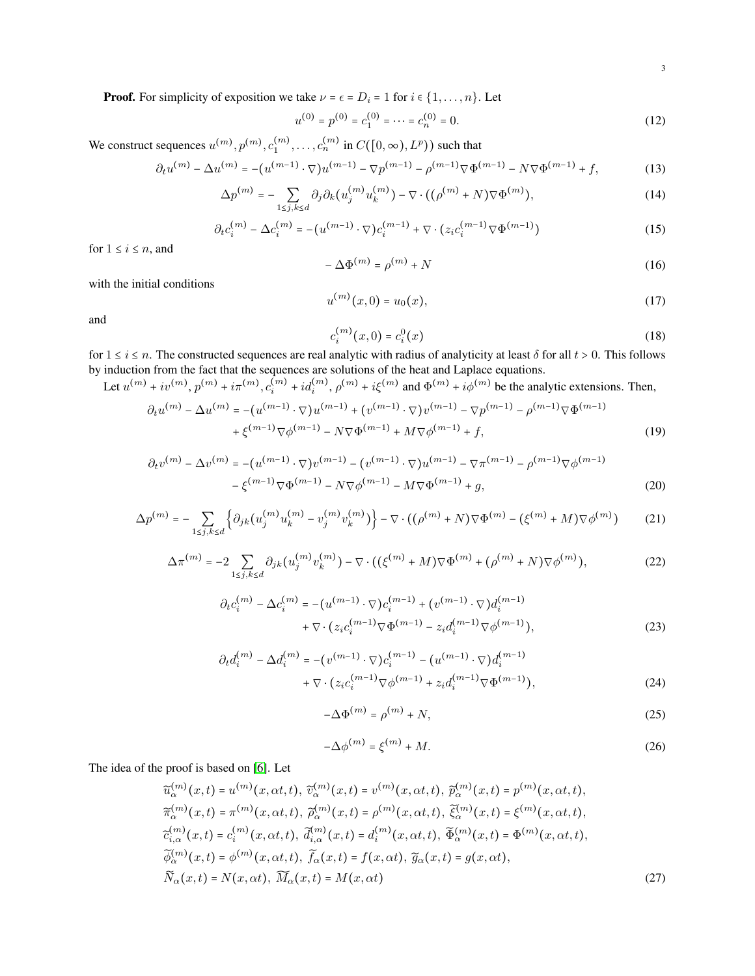**Proof.** For simplicity of exposition we take  $\nu = \epsilon = D_i = 1$  for  $i \in \{1, ..., n\}$ . Let

$$
u^{(0)} = p^{(0)} = c_1^{(0)} = \dots = c_n^{(0)} = 0.
$$
 (12)

We construct sequences  $u^{(m)}, p^{(m)}, c_1^{(m)}, \ldots, c_n^{(m)}$  in  $C([0, \infty), L^p)$ ) such that

<span id="page-2-0"></span>
$$
\partial_t u^{(m)} - \Delta u^{(m)} = -(u^{(m-1)} \cdot \nabla) u^{(m-1)} - \nabla p^{(m-1)} - \rho^{(m-1)} \nabla \Phi^{(m-1)} - N \nabla \Phi^{(m-1)} + f,\tag{13}
$$

$$
\Delta p^{(m)} = -\sum_{1 \le j,k \le d} \partial_j \partial_k (u_j^{(m)} u_k^{(m)}) - \nabla \cdot ((\rho^{(m)} + N) \nabla \Phi^{(m)}), \tag{14}
$$

<span id="page-2-1"></span>
$$
\partial_t c_i^{(m)} - \Delta c_i^{(m)} = -(u^{(m-1)} \cdot \nabla) c_i^{(m-1)} + \nabla \cdot (z_i c_i^{(m-1)} \nabla \Phi^{(m-1)}) \tag{15}
$$

for  $1 \leq i \leq n$ , and

$$
-\Delta\Phi^{(m)} = \rho^{(m)} + N \tag{16}
$$

with the initial conditions

$$
u^{(m)}(x,0) = u_0(x),
$$
\n(17)

and

$$
c_i^{(m)}(x,0) = c_i^0(x)
$$
 (18)

for  $1 \le i \le n$ . The constructed sequences are real analytic with radius of analyticity at least  $\delta$  for all  $t > 0$ . This follows by induction from the feat that the sequences are solutions of the heat and Leplace aquation by induction from the fact that the sequences are solutions of the heat and Laplace equations.

Let 
$$
u^{(m)} + iv^{(m)}
$$
,  $p^{(m)} + i\pi^{(m)}$ ,  $c_i^{(m)} + id_i^{(m)}$ ,  $\rho^{(m)} + i\xi^{(m)}$  and  $\Phi^{(m)} + i\phi^{(m)}$  be the analytic extensions. Then,  
\n
$$
\partial_t u^{(m)} - \Delta u^{(m)} = -(u^{(m-1)} \cdot \nabla) u^{(m-1)} + (v^{(m-1)} \cdot \nabla) v^{(m-1)} - \nabla p^{(m-1)} - \rho^{(m-1)} \nabla \Phi^{(m-1)}
$$

$$
-\Delta u^{(m)} = -(u^{(m-1)} \cdot \nabla) u^{(m-1)} + (v^{(m-1)} \cdot \nabla) v^{(m-1)} - \nabla p^{(m-1)} - \rho^{(m-1)} \nabla \Phi^{(m-1)} + \xi^{(m-1)} \nabla \phi^{(m-1)} - N \nabla \Phi^{(m-1)} + M \nabla \phi^{(m-1)} + f,
$$
\n(19)

$$
\partial_t v^{(m)} - \Delta v^{(m)} = -(u^{(m-1)} \cdot \nabla) v^{(m-1)} - (v^{(m-1)} \cdot \nabla) u^{(m-1)} - \nabla \pi^{(m-1)} - \rho^{(m-1)} \nabla \phi^{(m-1)} - \xi^{(m-1)} \nabla \Phi^{(m-1)} - N \nabla \phi^{(m-1)} - M \nabla \Phi^{(m-1)} + g,
$$
\n(20)

$$
\Delta p^{(m)} = -\sum_{1 \le j,k \le d} \left\{ \partial_{jk} \left( u_j^{(m)} u_k^{(m)} - v_j^{(m)} v_k^{(m)} \right) \right\} - \nabla \cdot \left( \left( \rho^{(m)} + N \right) \nabla \Phi^{(m)} - \left( \xi^{(m)} + M \right) \nabla \phi^{(m)} \right) \tag{21}
$$

$$
\Delta \pi^{(m)} = -2 \sum_{1 \le j,k \le d} \partial_{jk} (u_j^{(m)} v_k^{(m)}) - \nabla \cdot ((\xi^{(m)} + M) \nabla \Phi^{(m)} + (\rho^{(m)} + N) \nabla \phi^{(m)}), \tag{22}
$$

$$
\partial_t c_i^{(m)} - \Delta c_i^{(m)} = -(u^{(m-1)} \cdot \nabla) c_i^{(m-1)} + (v^{(m-1)} \cdot \nabla) d_i^{(m-1)} + \nabla \cdot (z_i c_i^{(m-1)} \nabla \Phi^{(m-1)} - z_i d_i^{(m-1)} \nabla \phi^{(m-1)}),
$$
\n(23)

$$
\partial_t d_i^{(m)} - \Delta d_i^{(m)} = -(v^{(m-1)} \cdot \nabla) c_i^{(m-1)} - (u^{(m-1)} \cdot \nabla) d_i^{(m-1)} + \nabla \cdot (z_i c_i^{(m-1)} \nabla \phi^{(m-1)} + z_i d_i^{(m-1)} \nabla \Phi^{(m-1)}),
$$
\n(24)

$$
-\Delta\Phi^{(m)} = \rho^{(m)} + N,\tag{25}
$$

$$
-\Delta \phi^{(m)} = \xi^{(m)} + M. \tag{26}
$$

The idea of the proof is based on [\[6\]](#page-18-7). Let

$$
\widetilde{u}_{\alpha}^{(m)}(x,t) = u^{(m)}(x,\alpha t,t), \widetilde{v}_{\alpha}^{(m)}(x,t) = v^{(m)}(x,\alpha t,t), \widetilde{p}_{\alpha}^{(m)}(x,t) = p^{(m)}(x,\alpha t,t), \n\widetilde{\pi}_{\alpha}^{(m)}(x,t) = \pi^{(m)}(x,\alpha t,t), \widetilde{\rho}_{\alpha}^{(m)}(x,t) = \rho^{(m)}(x,\alpha t,t), \widetilde{\xi}_{\alpha}^{(m)}(x,t) = \xi^{(m)}(x,\alpha t,t), \n\widetilde{c}_{i,\alpha}^{(m)}(x,t) = c_{i}^{(m)}(x,\alpha t,t), \widetilde{d}_{i,\alpha}^{(m)}(x,t) = d_{i}^{(m)}(x,\alpha t,t), \widetilde{\Phi}_{\alpha}^{(m)}(x,t) = \Phi^{(m)}(x,\alpha t,t), \n\widetilde{\phi}_{\alpha}^{(m)}(x,t) = \phi^{(m)}(x,\alpha t,t), \widetilde{f}_{\alpha}(x,t) = f(x,\alpha t), \widetilde{g}_{\alpha}(x,t) = g(x,\alpha t), \n\widetilde{N}_{\alpha}(x,t) = N(x,\alpha t), \widetilde{M}_{\alpha}(x,t) = M(x,\alpha t)
$$
\n(27)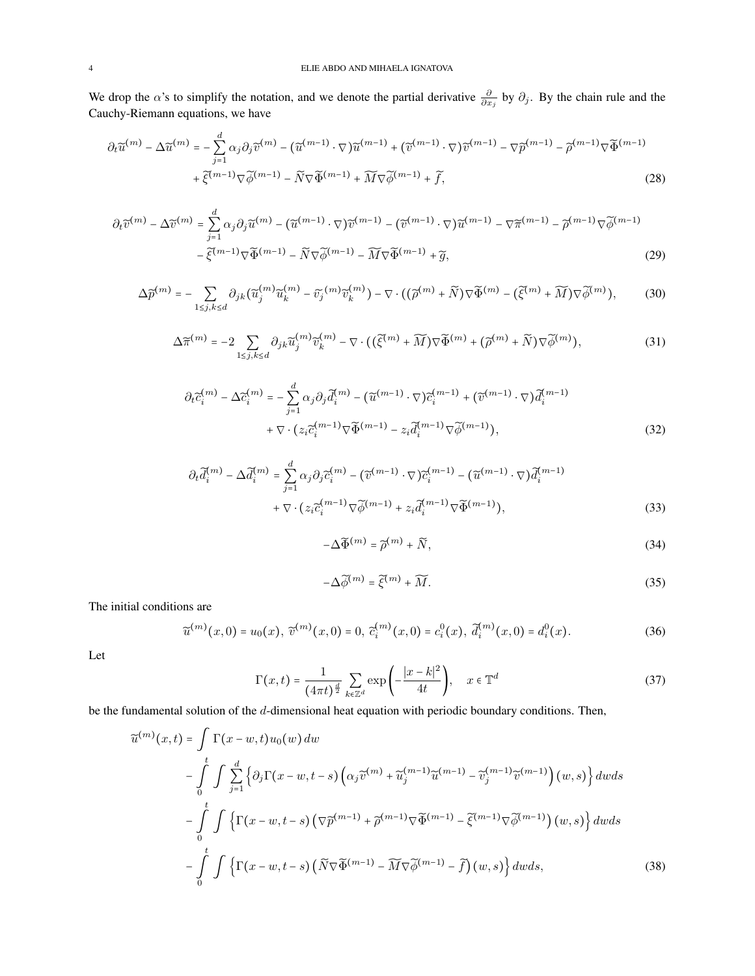We drop the  $\alpha$ 's to simplify the notation, and we denote the partial derivative  $\frac{\partial}{\partial x_j}$  by  $\partial_j$ . By the chain rule and the Cauchy-Riemann equations, we have

$$
\partial_t \widetilde{u}^{(m)} - \Delta \widetilde{u}^{(m)} = -\sum_{j=1}^d \alpha_j \partial_j \widetilde{v}^{(m)} - (\widetilde{u}^{(m-1)} \cdot \nabla) \widetilde{u}^{(m-1)} + (\widetilde{v}^{(m-1)} \cdot \nabla) \widetilde{v}^{(m-1)} - \nabla \widetilde{p}^{(m-1)} - \widetilde{\rho}^{(m-1)} \nabla \widetilde{\Phi}^{(m-1)} + \widetilde{\xi}^{(m-1)} \nabla \widetilde{\phi}^{(m-1)} - \widetilde{N} \nabla \widetilde{\Phi}^{(m-1)} + \widetilde{M} \nabla \widetilde{\phi}^{(m-1)} + \widetilde{f},
$$
\n(28)

$$
\partial_t \widetilde{v}^{(m)} - \Delta \widetilde{v}^{(m)} = \sum_{j=1}^d \alpha_j \partial_j \widetilde{u}^{(m)} - (\widetilde{u}^{(m-1)} \cdot \nabla) \widetilde{v}^{(m-1)} - (\widetilde{v}^{(m-1)} \cdot \nabla) \widetilde{u}^{(m-1)} - \nabla \widetilde{\pi}^{(m-1)} - \widetilde{\rho}^{(m-1)} \nabla \widetilde{\phi}^{(m-1)} - \widetilde{\xi}^{(m-1)} \nabla \widetilde{\Phi}^{(m-1)} - \widetilde{N} \nabla \widetilde{\phi}^{(m-1)} - \widetilde{M} \nabla \widetilde{\Phi}^{(m-1)} + \widetilde{g},
$$
\n(29)

$$
\Delta \widetilde{p}^{(m)} = -\sum_{1 \leq j,k \leq d} \partial_{jk} (\widetilde{u}_j^{(m)} \widetilde{u}_k^{(m)} - \widetilde{v}_j^{(m)} \widetilde{v}_k^{(m)}) - \nabla \cdot ((\widetilde{\rho}^{(m)} + \widetilde{N}) \nabla \widetilde{\Phi}^{(m)} - (\widetilde{\xi}^{(m)} + \widetilde{M}) \nabla \widetilde{\phi}^{(m)}), \tag{30}
$$

$$
\Delta \widetilde{\pi}^{(m)} = -2 \sum_{1 \le j,k \le d} \partial_{jk} \widetilde{u}_j^{(m)} \widetilde{v}_k^{(m)} - \nabla \cdot ((\widetilde{\xi}^{(m)} + \widetilde{M}) \nabla \widetilde{\Phi}^{(m)} + (\widetilde{\rho}^{(m)} + \widetilde{N}) \nabla \widetilde{\phi}^{(m)}),
$$
\n(31)

$$
\partial_t \widetilde{c}_i^{(m)} - \Delta \widetilde{c}_i^{(m)} = -\sum_{j=1}^d \alpha_j \partial_j \widetilde{d}_i^{(m)} - (\widetilde{u}^{(m-1)} \cdot \nabla) \widetilde{c}_i^{(m-1)} + (\widetilde{v}^{(m-1)} \cdot \nabla) \widetilde{d}_i^{(m-1)} + \nabla \cdot (z_i \widetilde{c}_i^{(m-1)} \nabla \widetilde{\Phi}^{(m-1)} - z_i \widetilde{d}_i^{(m-1)} \nabla \widetilde{\phi}^{(m-1)}),
$$
\n(32)

$$
\partial_t \widetilde{d}_i^{(m)} - \Delta \widetilde{d}_i^{(m)} = \sum_{j=1}^d \alpha_j \partial_j \widetilde{c}_i^{(m)} - \left( \widetilde{v}^{(m-1)} \cdot \nabla \right) \widetilde{c}_i^{(m-1)} - \left( \widetilde{u}^{(m-1)} \cdot \nabla \right) \widetilde{d}_i^{(m-1)} + \nabla \cdot \left( z_i \widetilde{c}_i^{(m-1)} \nabla \widetilde{\phi}^{(m-1)} + z_i \widetilde{d}_i^{(m-1)} \nabla \widetilde{\phi}^{(m-1)} \right),\tag{33}
$$

$$
-\Delta \widetilde{\Phi}^{(m)} = \widetilde{\rho}^{(m)} + \widetilde{N},\tag{34}
$$

$$
-\Delta \widetilde{\phi}^{(m)} = \widetilde{\xi}^{(m)} + \widetilde{M}.
$$
 (35)

The initial conditions are

$$
\widetilde{u}^{(m)}(x,0) = u_0(x), \; \widetilde{v}^{(m)}(x,0) = 0, \; \widetilde{c}_i^{(m)}(x,0) = c_i^0(x), \; \widetilde{d}_i^{(m)}(x,0) = d_i^0(x). \tag{36}
$$

Let

$$
\Gamma(x,t) = \frac{1}{(4\pi t)^{\frac{d}{2}}} \sum_{k \in \mathbb{Z}^d} \exp\left(-\frac{|x-k|^2}{4t}\right), \quad x \in \mathbb{T}^d \tag{37}
$$

be the fundamental solution of the  $d$ -dimensional heat equation with periodic boundary conditions. Then,

$$
\tilde{u}^{(m)}(x,t) = \int \Gamma(x-w,t)u_0(w) dw
$$
  
\n
$$
-\int_0^t \int \sum_{j=1}^d \left\{ \partial_j \Gamma(x-w,t-s) \left( \alpha_j \tilde{v}^{(m)} + \tilde{u}_j^{(m-1)} \tilde{u}^{(m-1)} - \tilde{v}_j^{(m-1)} \tilde{v}^{(m-1)} \right) (w,s) \right\} dw ds
$$
  
\n
$$
-\int_0^t \int \left\{ \Gamma(x-w,t-s) \left( \nabla \tilde{p}^{(m-1)} + \tilde{p}^{(m-1)} \nabla \tilde{\Phi}^{(m-1)} - \tilde{\xi}^{(m-1)} \nabla \tilde{\phi}^{(m-1)} \right) (w,s) \right\} dw ds
$$
  
\n
$$
-\int_0^t \int \left\{ \Gamma(x-w,t-s) \left( \tilde{N} \nabla \tilde{\Phi}^{(m-1)} - \tilde{M} \nabla \tilde{\phi}^{(m-1)} - \tilde{f} \right) (w,s) \right\} dw ds,
$$
(38)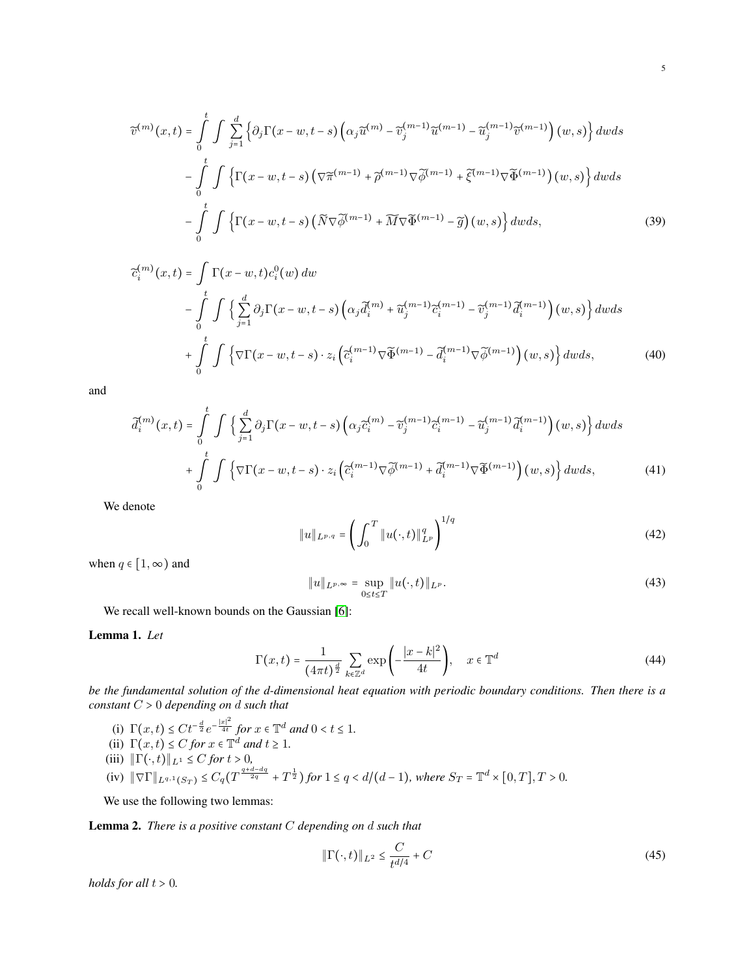$$
\widetilde{v}^{(m)}(x,t) = \int_{0}^{t} \int \sum_{j=1}^{d} \left\{ \partial_{j} \Gamma(x-w,t-s) \left( \alpha_{j} \widetilde{u}^{(m)} - \widetilde{v}_{j}^{(m-1)} \widetilde{u}^{(m-1)} - \widetilde{u}_{j}^{(m-1)} \widetilde{v}^{(m-1)} \right) (w,s) \right\} dw ds
$$

$$
- \int_{0}^{t} \int \left\{ \Gamma(x-w,t-s) \left( \nabla \widetilde{\pi}^{(m-1)} + \widetilde{\rho}^{(m-1)} \nabla \widetilde{\phi}^{(m-1)} + \widetilde{\xi}^{(m-1)} \nabla \widetilde{\Phi}^{(m-1)} \right) (w,s) \right\} dw ds
$$

$$
- \int_{0}^{t} \int \left\{ \Gamma(x-w,t-s) \left( \widetilde{N} \nabla \widetilde{\phi}^{(m-1)} + \widetilde{M} \nabla \widetilde{\Phi}^{(m-1)} - \widetilde{g} \right) (w,s) \right\} dw ds, \tag{39}
$$

$$
\tilde{c}_{i}^{(m)}(x,t) = \int \Gamma(x-w,t)c_{i}^{0}(w) dw
$$
  
\n
$$
-\int_{0}^{t} \int \left\{ \sum_{j=1}^{d} \partial_{j} \Gamma(x-w,t-s) \left( \alpha_{j} \tilde{d}_{i}^{(m)} + \tilde{u}_{j}^{(m-1)} \tilde{c}_{i}^{(m-1)} - \tilde{v}_{j}^{(m-1)} \tilde{d}_{i}^{(m-1)} \right) (w,s) \right\} dw ds
$$
  
\n
$$
+\int_{0}^{t} \int \left\{ \nabla \Gamma(x-w,t-s) \cdot z_{i} \left( \tilde{c}_{i}^{(m-1)} \nabla \tilde{\Phi}^{(m-1)} - \tilde{d}_{i}^{(m-1)} \nabla \tilde{\phi}^{(m-1)} \right) (w,s) \right\} dw ds,
$$
(40)

and

$$
\tilde{d}_i^{(m)}(x,t) = \int_0^t \int \left\{ \sum_{j=1}^d \partial_j \Gamma(x-w,t-s) \left( \alpha_j \tilde{c}_i^{(m)} - \tilde{v}_j^{(m-1)} \tilde{c}_i^{(m-1)} - \tilde{u}_j^{(m-1)} \tilde{d}_i^{(m-1)} \right)(w,s) \right\} dw ds
$$

$$
+ \int_0^t \int \left\{ \nabla \Gamma(x-w,t-s) \cdot z_i \left( \tilde{c}_i^{(m-1)} \nabla \tilde{\phi}^{(m-1)} + \tilde{d}_i^{(m-1)} \nabla \tilde{\Phi}^{(m-1)} \right)(w,s) \right\} dw ds, \tag{41}
$$

We denote

$$
||u||_{L^{p,q}} = \left(\int_0^T ||u(\cdot,t)||_{L^p}^q\right)^{1/q}
$$
\n(42)

when  $q \in [1, \infty)$  and

$$
||u||_{L^{p,\infty}} = \sup_{0 \le t \le T} ||u(\cdot,t)||_{L^p}.
$$
\n(43)

We recall well-known bounds on the Gaussian [\[6\]](#page-18-7):

<span id="page-4-0"></span>Lemma 1. *Let*

$$
\Gamma(x,t) = \frac{1}{(4\pi t)^{\frac{d}{2}}} \sum_{k \in \mathbb{Z}^d} \exp\left(-\frac{|x-k|^2}{4t}\right), \quad x \in \mathbb{T}^d \tag{44}
$$

*be the fundamental solution of the d-dimensional heat equation with periodic boundary conditions. Then there is a constant* <sup>C</sup> <sup>&</sup>gt; <sup>0</sup> *depending on* <sup>d</sup> *such that*

- (i)  $\Gamma(x,t) \leq Ct^{-\frac{d}{2}}e^{-\frac{|x|^2}{4t}}$  *for*  $x \in \mathbb{T}^d$  *and*  $0 < t \leq 1$ *.*<br>  $\Gamma(x,t) \leq Ct$  *for*  $x \in \mathbb{T}^d$  *and*  $t > 1$ .
- (ii)  $\Gamma(x,t) \leq C$  *for*  $x \in \mathbb{T}^d$  *and*  $t \geq 1$ *.*
- (iii)  $\|\Gamma(\cdot, t)\|_{L^1} \leq C$  *for*  $t > 0$ ,
- $(iv)$   $\|\nabla \Gamma\|_{L^{q,1}(S_T)} \leq C_q(T^{\frac{q+d-dq}{2q}} + T^{\frac{1}{2}})$  for  $1 \leq q < d/(d-1)$ , where  $S_T = \mathbb{T}^d \times [0,T], T > 0$ .

We use the following two lemmas:

<span id="page-4-1"></span>Lemma 2. *There is a positive constant* C *depending on* d *such that*

$$
\|\Gamma(\cdot,t)\|_{L^2} \le \frac{C}{t^{d/4}} + C \tag{45}
$$

*holds for all*  $t > 0$ *.*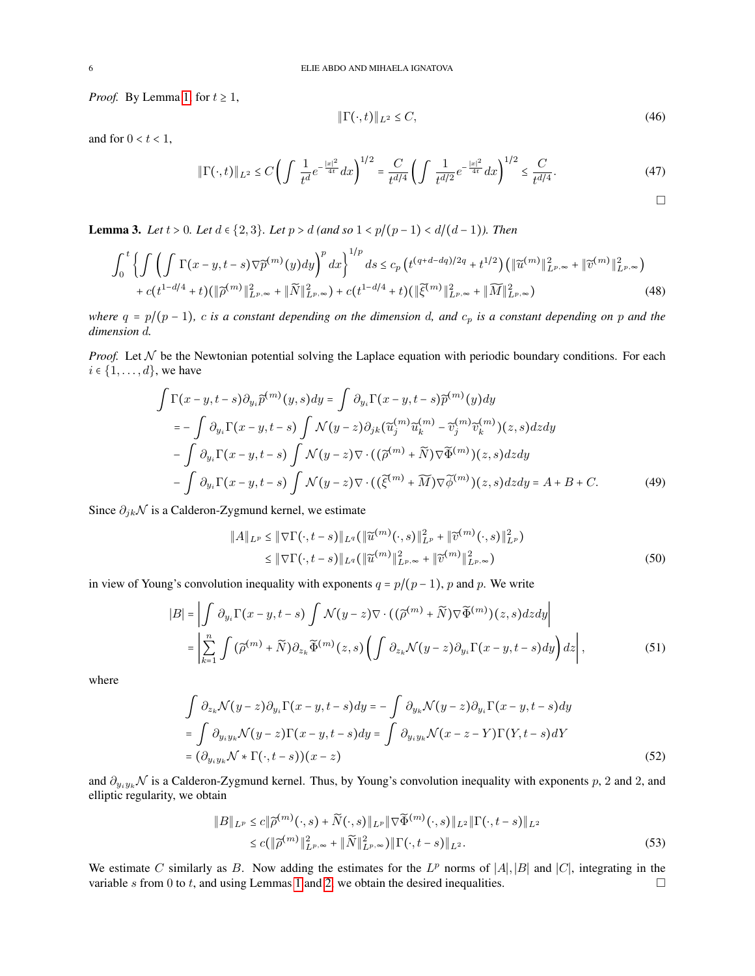*Proof.* By Lemma [1,](#page-4-0) for  $t \geq 1$ ,

<span id="page-5-2"></span>
$$
\|\Gamma(\cdot,t)\|_{L^2} \le C,\tag{46}
$$

and for  $0 < t < 1$ ,

$$
\|\Gamma(\cdot,t)\|_{L^2} \le C \left( \int \frac{1}{t^d} e^{-\frac{|x|^2}{4t}} dx \right)^{1/2} = \frac{C}{t^{d/4}} \left( \int \frac{1}{t^{d/2}} e^{-\frac{|x|^2}{4t}} dx \right)^{1/2} \le \frac{C}{t^{d/4}}.
$$
\n(47)

<span id="page-5-0"></span>**Lemma 3.** *Let*  $t > 0$ *. Let*  $d \in \{2, 3\}$ *. Let*  $p > d$  *(and so*  $1 < p/(p-1) < d/(d-1)$ *). Then* 

$$
\int_{0}^{t} \left\{ \int \left( \int \Gamma(x-y,t-s) \nabla \tilde{p}^{(m)}(y) dy \right)^{p} dx \right\}^{1/p} ds \leq c_{p} \left( t^{(q+d-dq)/2q} + t^{1/2} \right) \left( \| \tilde{u}^{(m)} \|_{L^{p,\infty}}^{2} + \| \tilde{v}^{(m)} \|_{L^{p,\infty}}^{2} \right) + c \left( t^{1-d/4} + t \right) \left( \| \tilde{\rho}^{(m)} \|_{L^{p,\infty}}^{2} + \| \widetilde{M} \|_{L^{p,\infty}}^{2} \right) + c \left( t^{1-d/4} + t \right) \left( \| \tilde{\xi}^{(m)} \|_{L^{p,\infty}}^{2} + \| \widetilde{M} \|_{L^{p,\infty}}^{2} \right) \tag{48}
$$

*where*  $q = p/(p-1)$ , *c is a constant depending on the dimension d, and*  $c_p$  *is a constant depending on p and the dimension* d*.*

*Proof.* Let  $N$  be the Newtonian potential solving the Laplace equation with periodic boundary conditions. For each  $i \in \{1, \ldots, d\}$ , we have

$$
\int \Gamma(x-y,t-s)\partial_{y_i}\widetilde{p}^{(m)}(y,s)dy = \int \partial_{y_i}\Gamma(x-y,t-s)\widetilde{p}^{(m)}(y)dy
$$
  
\n
$$
= -\int \partial_{y_i}\Gamma(x-y,t-s)\int \mathcal{N}(y-z)\partial_{jk}(\widetilde{u}_j^{(m)}\widetilde{u}_k^{(m)} - \widetilde{v}_j^{(m)}\widetilde{v}_k^{(m)})(z,s)dzdy
$$
  
\n
$$
- \int \partial_{y_i}\Gamma(x-y,t-s)\int \mathcal{N}(y-z)\nabla \cdot ((\widetilde{\rho}^{(m)} + \widetilde{N})\nabla \widetilde{\Phi}^{(m)})(z,s)dzdy
$$
  
\n
$$
- \int \partial_{y_i}\Gamma(x-y,t-s)\int \mathcal{N}(y-z)\nabla \cdot ((\widetilde{\xi}^{(m)} + \widetilde{M})\nabla \widetilde{\phi}^{(m)})(z,s)dzdy = A+B+C.
$$
 (49)

Since  $\partial_{jk} \mathcal{N}$  is a Calderon-Zygmund kernel, we estimate

$$
||A||_{L^p} \le ||\nabla \Gamma(\cdot, t-s)||_{L^q} (||\widetilde{u}^{(m)}(\cdot, s)||_{L^p}^2 + ||\widetilde{v}^{(m)}(\cdot, s)||_{L^p}^2)
$$
  

$$
\le ||\nabla \Gamma(\cdot, t-s)||_{L^q} (||\widetilde{u}^{(m)}||_{L^p,\infty}^2 + ||\widetilde{v}^{(m)}||_{L^p,\infty}^2)
$$
 (50)

in view of Young's convolution inequality with exponents  $q = p/(p-1)$ , p and p. We write

$$
|B| = \left| \int \partial_{y_i} \Gamma(x - y, t - s) \int \mathcal{N}(y - z) \nabla \cdot ((\widetilde{\rho}^{(m)} + \widetilde{N}) \nabla \widetilde{\Phi}^{(m)})(z, s) dz dy \right|
$$
  

$$
= \left| \sum_{k=1}^n \int (\widetilde{\rho}^{(m)} + \widetilde{N}) \partial_{z_k} \widetilde{\Phi}^{(m)}(z, s) \left( \int \partial_{z_k} \mathcal{N}(y - z) \partial_{y_i} \Gamma(x - y, t - s) dy \right) dz \right|,
$$
 (51)

where

$$
\int \partial_{z_k} \mathcal{N}(y-z) \partial_{y_i} \Gamma(x-y,t-s) dy = -\int \partial_{y_k} \mathcal{N}(y-z) \partial_{y_i} \Gamma(x-y,t-s) dy
$$
  
= 
$$
\int \partial_{y_i y_k} \mathcal{N}(y-z) \Gamma(x-y,t-s) dy = \int \partial_{y_i y_k} \mathcal{N}(x-z-Y) \Gamma(Y,t-s) dY
$$
  
= 
$$
(\partial_{y_i y_k} \mathcal{N} * \Gamma(\cdot, t-s))(x-z)
$$
 (52)

and  $\partial_{y_iy_k}\mathcal{N}$  is a Calderon-Zygmund kernel. Thus, by Young's convolution inequality with exponents p, 2 and 2, and elliptic regularity, we obtain

<span id="page-5-1"></span>
$$
||B||_{L^p} \le c||\widetilde{\rho}^{(m)}(\cdot,s) + \widetilde{N}(\cdot,s)||_{L^p} ||\nabla \widetilde{\Phi}^{(m)}(\cdot,s)||_{L^2} ||\Gamma(\cdot,t-s)||_{L^2}
$$
  

$$
\le c(||\widetilde{\rho}^{(m)}||_{L^p,\infty}^2 + ||\widetilde{N}||_{L^p,\infty}^2) ||\Gamma(\cdot,t-s)||_{L^2}.
$$
 (53)

We estimate C similarly as B. Now adding the estimates for the  $L^p$  norms of |A|, |B| and |C|, integrating in the variable s from 0 to t, and using Lemmas [1](#page-4-0) and [2,](#page-4-1) we obtain the desired inequalities.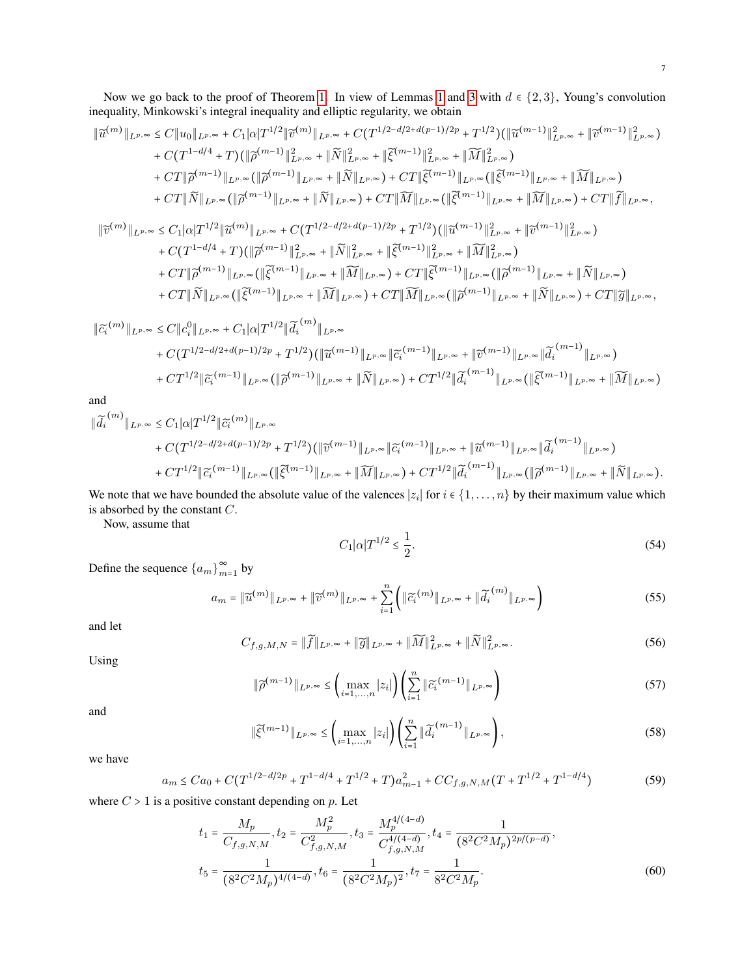Now we go back to the proof of Theorem [1.](#page-1-2) In view of Lemmas [1](#page-4-0) and [3](#page-5-0) with  $d \in \{2,3\}$ , Young's convolution inequality, Minkowski's integral inequality and elliptic regularity, we obtain

$$
\|\tilde{u}^{(m)}\|_{L^{p,\infty}} \leq C \|u_0\|_{L^{p,\infty}} + C_1 |\alpha| T^{1/2} \|\tilde{v}^{(m)}\|_{L^{p,\infty}} + C (T^{1/2 - d/2 + d(p-1)/2p} + T^{1/2}) (\|\tilde{u}^{(m-1)}\|_{L^{p,\infty}}^2 + \|\tilde{v}^{(m-1)}\|_{L^{p,\infty}}^2)
$$
  
+  $C (T^{1-d/4} + T) (\|\tilde{\rho}^{(m-1)}\|_{L^{p,\infty}}^2 + \|\tilde{N}\|_{L^{p,\infty}}^2 + \|\tilde{\xi}^{(m-1)}\|_{L^{p,\infty}}^2 + \|\widetilde{M}\|_{L^{p,\infty}}^2)$   
+  $C T \|\tilde{\rho}^{(m-1)}\|_{L^{p,\infty}} (\|\tilde{\rho}^{(m-1)}\|_{L^{p,\infty}} + \|\widetilde{N}\|_{L^{p,\infty}}) + C T \|\tilde{\xi}^{(m-1)}\|_{L^{p,\infty}} (\|\tilde{\xi}^{(m-1)}\|_{L^{p,\infty}} + \|\widetilde{M}\|_{L^{p,\infty}})$   
+  $C T \|\tilde{N}\|_{L^{p,\infty}} (\|\tilde{\rho}^{(m-1)}\|_{L^{p,\infty}} + \|\widetilde{N}\|_{L^{p,\infty}}) + C T \|\widetilde{M}\|_{L^{p,\infty}} (\|\tilde{\xi}^{(m-1)}\|_{L^{p,\infty}} + \|\widetilde{M}\|_{L^{p,\infty}}) + C T \|\widetilde{f}\|_{L^{p,\infty}},$   

$$
\|\tilde{v}^{(m)}\|_{L^{p,\infty}} \leq C_1 |\alpha| T^{1/2} \|\tilde{u}^{(m)}\|_{L^{p,\infty}} + C (T^{1/2 - d/2 + d(p-1)/2p} + T^{1/2}) (\|\tilde{u}^{(m-1)}\|_{L^{p,\infty}}^2 + \|\tilde{v}^{(m-1)}\|_{L^{p,\infty}}^2)
$$
  
+  $C (T^{1-d/4} + T) (\|\tilde{\rho}^{(m-1)}\|_{L^{p,\infty}} + \|\widetilde{N}\|_{L^{p,\infty}} + \|\wid$ 

$$
+ CT \|\widetilde{\rho}^{(m-1)}\|_{L^{p,\infty}} (\|\widetilde{\xi}^{(m-1)}\|_{L^{p,\infty}} + \|\widetilde{M}\|_{L^{p,\infty}}) + CT \|\widetilde{\xi}^{(m-1)}\|_{L^{p,\infty}} (\|\widetilde{\rho}^{(m-1)}\|_{L^{p,\infty}} + \|\widetilde{N}\|_{L^{p,\infty}}) + CT \|\widetilde{N}\|_{L^{p,\infty}} (\|\widetilde{\xi}^{(m-1)}\|_{L^{p,\infty}} + \|\widetilde{M}\|_{L^{p,\infty}}) + CT \|\widetilde{M}\|_{L^{p,\infty}} (\|\widetilde{\rho}^{(m-1)}\|_{L^{p,\infty}} + \|\widetilde{N}\|_{L^{p,\infty}}) + CT \|\widetilde{g}\|_{L^{p,\infty}},
$$

$$
\begin{split} \|\widetilde{c_{i}}^{(m)}\|_{L^{p,\infty}} &\leq C \|c_{i}^{0}\|_{L^{p,\infty}} + C_{1}|\alpha| T^{1/2} \|\widetilde{d_{i}}^{(m)}\|_{L^{p,\infty}} \\ &+ C(T^{1/2-d/2+d(p-1)/2p} + T^{1/2}) (\|\widetilde{u}^{(m-1)}\|_{L^{p,\infty}} \|\widetilde{c_{i}}^{(m-1)}\|_{L^{p,\infty}} + \|\widetilde{v}^{(m-1)}\|_{L^{p,\infty}} \|\widetilde{d_{i}}^{(m-1)}\|_{L^{p,\infty}}) \\ &+ C T^{1/2} \|\widetilde{c_{i}}^{(m-1)}\|_{L^{p,\infty}} (\|\widetilde{\rho}^{(m-1)}\|_{L^{p,\infty}} + \|\widetilde{N}\|_{L^{p,\infty}}) + C T^{1/2} \|\widetilde{d_{i}}^{(m-1)}\|_{L^{p,\infty}} (\|\widetilde{\xi}^{(m-1)}\|_{L^{p,\infty}} + \|\widetilde{M}\|_{L^{p,\infty}}) \end{split}
$$

and

$$
\begin{split} \|\widetilde{d_{i}}^{(m)}\|_{L^{p,\infty}} &\leq C_{1}|\alpha|T^{1/2}\|\widetilde{c_{i}}^{(m)}\|_{L^{p,\infty}}\\ &+C(T^{1/2-d/2+d(p-1)/2p}+T^{1/2})(\|\widetilde{v}^{(m-1)}\|_{L^{p,\infty}}\|\widetilde{c_{i}}^{(m-1)}\|_{L^{p,\infty}}+\|\widetilde{u}^{(m-1)}\|_{L^{p,\infty}}\|\widetilde{d_{i}}^{(m-1)}\|_{L^{p,\infty}})\\ &+CT^{1/2}\|\widetilde{c_{i}}^{(m-1)}\|_{L^{p,\infty}}(\|\widetilde{\xi}^{(m-1)}\|_{L^{p,\infty}}+\|\widetilde{M}\|_{L^{p,\infty}})+CT^{1/2}\|\widetilde{d_{i}}^{(m-1)}\|_{L^{p,\infty}}(\|\widetilde{\rho}^{(m-1)}\|_{L^{p,\infty}}+\|\widetilde{N}\|_{L^{p,\infty}}). \end{split}
$$

We note that we have bounded the absolute value of the valences  $|z_i|$  for  $i \in \{1, ..., n\}$  by their maximum value which is absorbed by the constant C.

Now, assume that

<span id="page-6-0"></span>
$$
C_1|\alpha|T^{1/2} \le \frac{1}{2}.\tag{54}
$$

Define the sequence  $\{a_m\}_{m=1}^{\infty}$  by

$$
a_m = \|\widetilde{u}^{(m)}\|_{L^{p,\infty}} + \|\widetilde{v}^{(m)}\|_{L^{p,\infty}} + \sum_{i=1}^n \left( \|\widetilde{c}_i^{(m)}\|_{L^{p,\infty}} + \|\widetilde{d}_i^{(m)}\|_{L^{p,\infty}} \right) \tag{55}
$$

and let

$$
C_{f,g,M,N} = \|\widetilde{f}\|_{L^{p,\infty}} + \|\widetilde{g}\|_{L^{p,\infty}} + \|\widetilde{M}\|_{L^{p,\infty}}^2 + \|\widetilde{N}\|_{L^{p,\infty}}^2.
$$
\n(56)

Using

$$
\|\widetilde{\rho}^{(m-1)}\|_{L^{p,\infty}} \leq \left(\max_{i=1,\dots,n}|z_i|\right) \left(\sum_{i=1}^n \|\widetilde{c_i}^{(m-1)}\|_{L^{p,\infty}}\right) \tag{57}
$$

and

$$
\|\tilde{\xi}^{(m-1)}\|_{L^{p,\infty}} \leq \left(\max_{i=1,\dots,n}|z_i|\right) \left(\sum_{i=1}^n \|\tilde{d}_i^{(m-1)}\|_{L^{p,\infty}}\right),\tag{58}
$$

we have

$$
a_m \leq Ca_0 + C(T^{1/2 - d/2p} + T^{1 - d/4} + T^{1/2} + T)a_{m-1}^2 + CC_{f,g,N,M}(T + T^{1/2} + T^{1 - d/4})
$$
\n
$$
(59)
$$

where  $C > 1$  is a positive constant depending on  $p$ . Let

$$
t_1 = \frac{M_p}{C_{f,g,N,M}}, t_2 = \frac{M_p^2}{C_{f,g,N,M}^2}, t_3 = \frac{M_p^{4/(4-d)}}{C_{f,g,N,M}^{4/(4-d)}}, t_4 = \frac{1}{(8^2 C^2 M_p)^{2p/(p-d)}},
$$
  

$$
t_5 = \frac{1}{(8^2 C^2 M_p)^{4/(4-d)}}, t_6 = \frac{1}{(8^2 C^2 M_p)^2}, t_7 = \frac{1}{8^2 C^2 M_p}.
$$
 (60)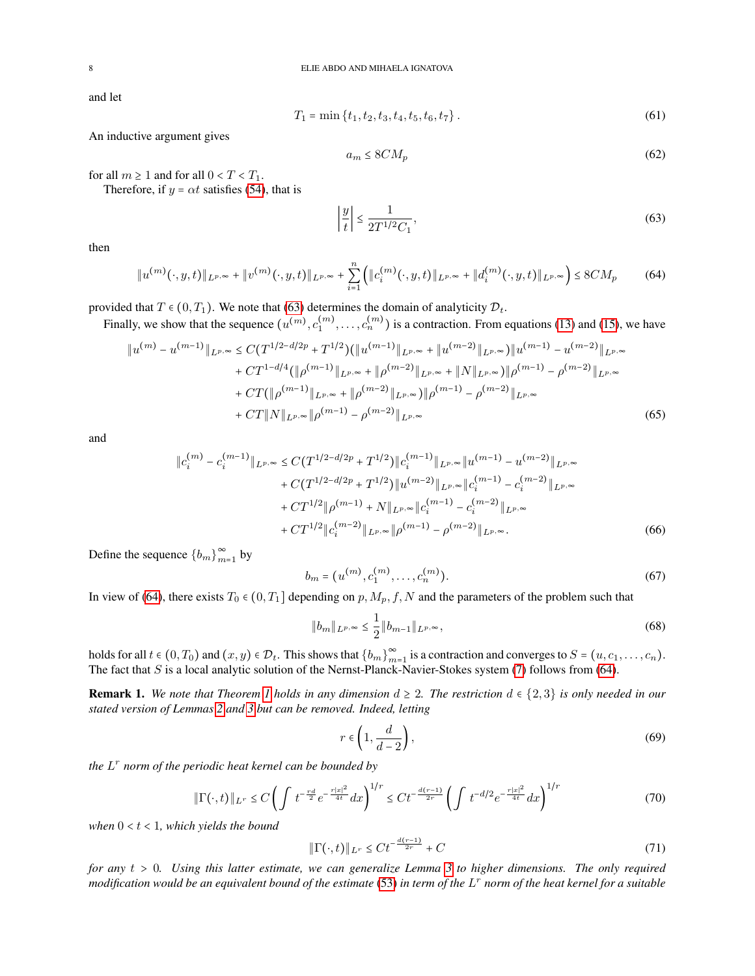and let

$$
T_1 = \min\{t_1, t_2, t_3, t_4, t_5, t_6, t_7\}.
$$
\n(61)

An inductive argument gives

<span id="page-7-0"></span>
$$
a_m \le 8CM_p \tag{62}
$$

for all  $m \geq 1$  and for all  $0 < T < T_1$ .

Therefore, if  $y = \alpha t$  satisfies [\(54\)](#page-6-0), that is

<span id="page-7-1"></span>
$$
\left|\frac{y}{t}\right| \le \frac{1}{2T^{1/2}C_1},\tag{63}
$$

then

$$
||u^{(m)}(\cdot,y,t)||_{L^{p,\infty}} + ||v^{(m)}(\cdot,y,t)||_{L^{p,\infty}} + \sum_{i=1}^{n} (||c_i^{(m)}(\cdot,y,t)||_{L^{p,\infty}} + ||d_i^{(m)}(\cdot,y,t)||_{L^{p,\infty}}) \leq 8CM_p
$$
 (64)

provided that  $T \in (0, T_1)$ . We note that [\(63\)](#page-7-0) determines the domain of analyticity  $\mathcal{D}_t$ .

Finally, we show that the sequence  $(u^{(m)}, c_1^{(m)}, \ldots, c_n^{(m)})$  is a contraction. From equations [\(13\)](#page-2-0) and [\(15\)](#page-2-1), we have

$$
\|u^{(m)} - u^{(m-1)}\|_{L^{p,\infty}} \le C(T^{1/2 - d/2p} + T^{1/2}) (\|u^{(m-1)}\|_{L^{p,\infty}} + \|u^{(m-2)}\|_{L^{p,\infty}}) \|u^{(m-1)} - u^{(m-2)}\|_{L^{p,\infty}} + CT^{1-d/4} (\|\rho^{(m-1)}\|_{L^{p,\infty}} + \|\rho^{(m-2)}\|_{L^{p,\infty}} + \|N\|_{L^{p,\infty}}) \|\rho^{(m-1)} - \rho^{(m-2)}\|_{L^{p,\infty}} + CT (\|\rho^{(m-1)}\|_{L^{p,\infty}} + \|\rho^{(m-2)}\|_{L^{p,\infty}}) \|\rho^{(m-1)} - \rho^{(m-2)}\|_{L^{p,\infty}} + CT \|N\|_{L^{p,\infty}} \|\rho^{(m-1)} - \rho^{(m-2)}\|_{L^{p,\infty}}
$$
\n(65)

and

$$
\|c_i^{(m)} - c_i^{(m-1)}\|_{L^{p,\infty}} \le C(T^{1/2 - d/2p} + T^{1/2}) \|c_i^{(m-1)}\|_{L^{p,\infty}} \|u^{(m-1)} - u^{(m-2)}\|_{L^{p,\infty}} + C(T^{1/2 - d/2p} + T^{1/2}) \|u^{(m-2)}\|_{L^{p,\infty}} \|c_i^{(m-1)} - c_i^{(m-2)}\|_{L^{p,\infty}} + CT^{1/2} \|\rho^{(m-1)} + N\|_{L^{p,\infty}} \|c_i^{(m-1)} - c_i^{(m-2)}\|_{L^{p,\infty}} + CT^{1/2} \|c_i^{(m-2)}\|_{L^{p,\infty}} \|\rho^{(m-1)} - \rho^{(m-2)}\|_{L^{p,\infty}}.
$$
 (66)

Define the sequence  ${b_m}_{m=1}^{\infty}$  by

$$
b_m = (u^{(m)}, c_1^{(m)}, \dots, c_n^{(m)}).
$$
\n(67)

In view of [\(64\)](#page-7-1), there exists  $T_0 \in (0, T_1]$  depending on  $p, M_p, f, N$  and the parameters of the problem such that

$$
||b_m||_{L^{p,\infty}} \le \frac{1}{2} ||b_{m-1}||_{L^{p,\infty}},
$$
\n(68)

holds for all  $t \in (0, T_0)$  and  $(x, y) \in \mathcal{D}_t$ . This shows that  $\{b_m\}_{m=1}^{\infty}$  is a contraction and converges to  $S = (u, c_1, \ldots, c_n)$ .<br>The feat that  $S$  is a legal analytic solution of the Newet Planal, Navier Stelses sy The fact that S is a local analytic solution of the Nernst-Planck-Navier-Stokes system  $(7)$  follows from [\(64\)](#page-7-1).

**Remark [1](#page-1-2).** We note that Theorem 1 holds in any dimension  $d \geq 2$ . The restriction  $d \in \{2,3\}$  is only needed in our *stated version of Lemmas [2](#page-4-1) and [3](#page-5-0) but can be removed. Indeed, letting*

<span id="page-7-2"></span>
$$
r \in \left(1, \frac{d}{d-2}\right),\tag{69}
$$

*the* L r *norm of the periodic heat kernel can be bounded by*

$$
\|\Gamma(\cdot,t)\|_{L^r} \le C \left( \int t^{-\frac{rd}{2}} e^{-\frac{r|x|^2}{4t}} dx \right)^{1/r} \le Ct^{-\frac{d(r-1)}{2r}} \left( \int t^{-d/2} e^{-\frac{r|x|^2}{4t}} dx \right)^{1/r} \tag{70}
$$

when  $0 < t < 1$ *, which yields the bound* 

$$
\|\Gamma(\cdot,t)\|_{L^r} \le Ct^{-\frac{d(r-1)}{2r}} + C\tag{71}
$$

*for any* <sup>t</sup> <sup>&</sup>gt; <sup>0</sup>*. Using this latter estimate, we can generalize Lemma [3](#page-5-0) to higher dimensions. The only required modification would be an equivalent bound of the estimate* [\(53\)](#page-5-1) *in term of the* L r *norm of the heat kernel for a suitable*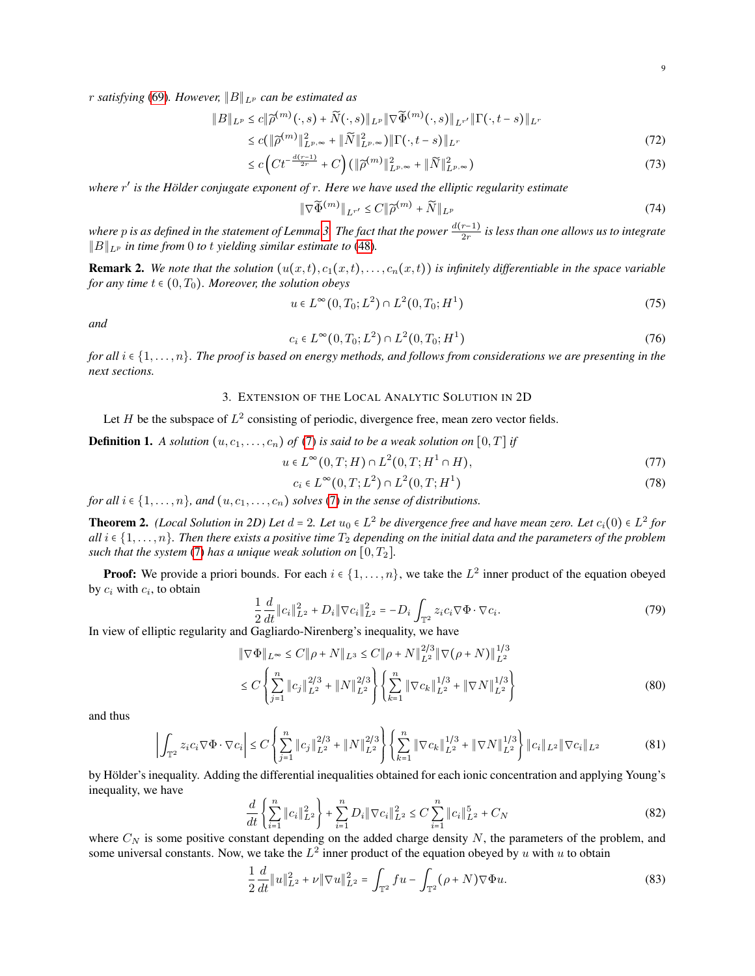r *satisfying* [\(69\)](#page-7-2)*. However,* ∥B∥<sup>L</sup><sup>p</sup> *can be estimated as*

$$
||B||_{L^p} \le c||\widetilde{\rho}^{(m)}(\cdot,s) + \widetilde{N}(\cdot,s)||_{L^p} ||\nabla \widetilde{\Phi}^{(m)}(\cdot,s)||_{L^{r'}} ||\Gamma(\cdot,t-s)||_{L^r}
$$
  

$$
\le c(||\widetilde{\rho}^{(m)}||^2 \qquad ||\widetilde{N}||^2 \qquad ||\Gamma(\cdot,t-s)||_{L^r}
$$
 (72)

$$
\leq c \left( \|\widetilde{\rho}^{(m)}\|_{L^{p,\infty}}^2 + \|\widetilde{N}\|_{L^{p,\infty}}^2 \right) \|\Gamma(\cdot, t-s)\|_{L^r} \tag{72}
$$

$$
\leq c \left( Ct^{-\frac{d(r-1)}{2r}} + C\right) \left( \|\widetilde{\rho}^{(m)}\|_{L^{p,\infty}}^2 + \|\widetilde{N}\|_{L^{p,\infty}}^2 \right) \tag{73}
$$

*where* r ′ *is the Holder conjugate exponent of ¨* r*. Here we have used the elliptic regularity estimate*

$$
\|\nabla\widetilde{\Phi}^{(m)}\|_{L^{r'}} \le C \|\widetilde{\rho}^{(m)} + \widetilde{N}\|_{L^p}
$$
\n(74)

*where p is as defined in the statement of Lemma [3.](#page-5-0) The fact that the power*  $\frac{d(r-1)}{2r}$  *is less than one allows us to integrate* ∥B∥<sup>L</sup><sup>p</sup> *in time from* 0 *to* t *yielding similar estimate to* [\(48\)](#page-5-2)*.*

<span id="page-8-2"></span>**Remark 2.** We note that the solution  $(u(x,t), c_1(x,t), \ldots, c_n(x,t))$  is infinitely differentiable in the space variable *for any time*  $t \in (0, T_0)$ *. Moreover, the solution obeys* 

$$
u \in L^{\infty}(0, T_0; L^2) \cap L^2(0, T_0; H^1)
$$
\n(75)

*and*

$$
c_i \in L^{\infty}(0, T_0; L^2) \cap L^2(0, T_0; H^1)
$$
\n(76)

*for all* <sup>i</sup> <sup>∈</sup> {1, . . . , n}*. The proof is based on energy methods, and follows from considerations we are presenting in the next sections.*

## 3. EXTENSION OF THE LOCAL ANALYTIC SOLUTION IN 2D

<span id="page-8-0"></span>Let H be the subspace of  $L^2$  consisting of periodic, divergence free, mean zero vector fields.

**Definition 1.** A solution  $(u, c_1, \ldots, c_n)$  of [\(7\)](#page-1-1) is said to be a weak solution on  $[0, T]$  if

$$
u \in L^{\infty}(0, T; H) \cap L^{2}(0, T; H^{1} \cap H), \tag{77}
$$

$$
c_i \in L^{\infty}(0, T; L^2) \cap L^2(0, T; H^1)
$$
\n
$$
(78)
$$

*for all*  $i \in \{1, \ldots, n\}$ *, and*  $(u, c_1, \ldots, c_n)$  *solves* [\(7\)](#page-1-1) *in the sense of distributions.* 

<span id="page-8-3"></span>**Theorem 2.** *(Local Solution in 2D) Let*  $d = 2$ *. Let*  $u_0 \in L^2$  *be divergence free and have mean zero. Let*  $c_i(0) \in L^2$  *for*  $c_i(1)$  and  $r$  and  $r$  and  $r$  and  $r$  and  $r$  and  $r$  and  $r$  and  $r$  and  $r$  and  $r$  an *all*  $i \in \{1, \ldots, n\}$ . Then there exists a positive time  $T_2$  depending on the initial data and the parameters of the problem *such that the system* [\(7\)](#page-1-1) *has a unique weak solution on*  $[0, T_2]$ *.* 

**Proof:** We provide a priori bounds. For each  $i \in \{1, \ldots, n\}$ , we take the  $L^2$  inner product of the equation obeyed by  $c_i$  with  $c_i$ , to obtain

$$
\frac{1}{2}\frac{d}{dt}\|c_i\|_{L^2}^2 + D_i \|\nabla c_i\|_{L^2}^2 = -D_i \int_{\mathbb{T}^2} z_i c_i \nabla \Phi \cdot \nabla c_i.
$$
\n(79)

In view of elliptic regularity and Gagliardo-Nirenberg's inequality, we have

$$
\|\nabla\Phi\|_{L^{\infty}} \le C \|\rho + N\|_{L^{3}} \le C \|\rho + N\|_{L^{2}}^{2/3} \|\nabla(\rho + N)\|_{L^{2}}^{1/3}
$$
  

$$
\le C \left\{ \sum_{j=1}^{n} \|c_{j}\|_{L^{2}}^{2/3} + \|N\|_{L^{2}}^{2/3} \right\} \left\{ \sum_{k=1}^{n} \|\nabla c_{k}\|_{L^{2}}^{1/3} + \|\nabla N\|_{L^{2}}^{1/3} \right\}
$$
(80)

and thus

$$
\left| \int_{\mathbb{T}^2} z_i c_i \nabla \Phi \cdot \nabla c_i \right| \le C \left\{ \sum_{j=1}^n \|c_j\|_{L^2}^{2/3} + \|N\|_{L^2}^{2/3} \right\} \left\{ \sum_{k=1}^n \|\nabla c_k\|_{L^2}^{1/3} + \|\nabla N\|_{L^2}^{1/3} \right\} \|c_i\|_{L^2} \|\nabla c_i\|_{L^2}
$$
(81)

by Hölder's inequality. Adding the differential inequalities obtained for each ionic concentration and applying Young's inequality, we have

<span id="page-8-1"></span>
$$
\frac{d}{dt}\left\{\sum_{i=1}^{n} \|c_i\|_{L^2}^2\right\} + \sum_{i=1}^{n} D_i \|\nabla c_i\|_{L^2}^2 \le C \sum_{i=1}^{n} \|c_i\|_{L^2}^5 + C_N
$$
\n(82)

where  $C_N$  is some positive constant depending on the added charge density  $N$ , the parameters of the problem, and some universal constants. Now, we take the  $L^2$  inner product of the equation obeyed by u with u to obtain

$$
\frac{1}{2}\frac{d}{dt}\|u\|_{L^2}^2 + \nu \|\nabla u\|_{L^2}^2 = \int_{\mathbb{T}^2} f u - \int_{\mathbb{T}^2} (\rho + N)\nabla \Phi u.
$$
\n(83)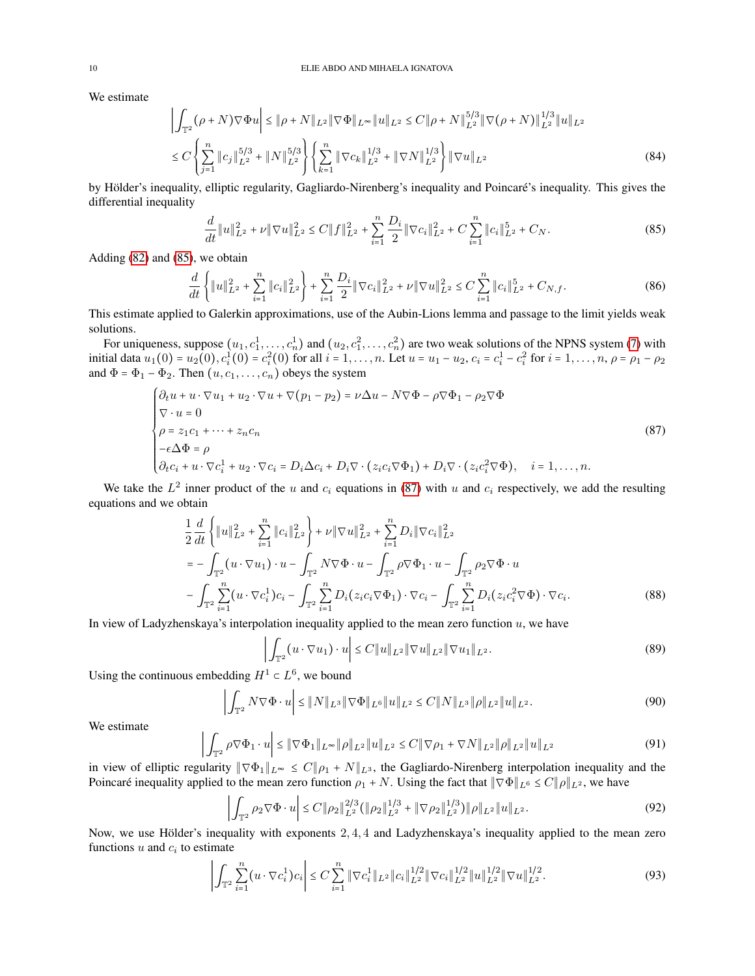We estimate

$$
\left| \int_{\mathbb{T}^2} (\rho + N) \nabla \Phi u \right| \le \|\rho + N\|_{L^2} \|\nabla \Phi\|_{L^\infty} \|u\|_{L^2} \le C \|\rho + N\|_{L^2}^{5/3} \|\nabla (\rho + N)\|_{L^2}^{1/3} \|u\|_{L^2}
$$
  

$$
\le C \left\{ \sum_{j=1}^n \|c_j\|_{L^2}^{5/3} + \|N\|_{L^2}^{5/3} \right\} \left\{ \sum_{k=1}^n \|\nabla c_k\|_{L^2}^{1/3} + \|\nabla N\|_{L^2}^{1/3} \right\} \|\nabla u\|_{L^2}
$$
 (84)

by Hölder's inequality, elliptic regularity, Gagliardo-Nirenberg's inequality and Poincaré's inequality. This gives the differential inequality

<span id="page-9-0"></span>
$$
\frac{d}{dt}||u||_{L^{2}}^{2} + \nu ||\nabla u||_{L^{2}}^{2} \le C||f||_{L^{2}}^{2} + \sum_{i=1}^{n} \frac{D_{i}}{2}||\nabla c_{i}||_{L^{2}}^{2} + C\sum_{i=1}^{n}||c_{i}||_{L^{2}}^{5} + C_{N}.
$$
\n(85)

Adding [\(82\)](#page-8-1) and [\(85\)](#page-9-0), we obtain

$$
\frac{d}{dt}\left\{\|u\|_{L^2}^2 + \sum_{i=1}^n \|c_i\|_{L^2}^2\right\} + \sum_{i=1}^n \frac{D_i}{2} \|\nabla c_i\|_{L^2}^2 + \nu \|\nabla u\|_{L^2}^2 \le C \sum_{i=1}^n \|c_i\|_{L^2}^5 + C_{N,f}.\tag{86}
$$

This estimate applied to Galerkin approximations, use of the Aubin-Lions lemma and passage to the limit yields weak solutions.

For uniqueness, suppose  $(u_1, c_1^1, \ldots, c_n^1)$  and  $(u_2, c_1^2, \ldots, c_n^2)$  are two weak solutions of the NPNS system [\(7\)](#page-1-1) with initial data  $u_1(0) = u_2(0), c_i^1(0) = c_i^2(0)$  for all  $i = 1, ..., n$ . Let  $u = u_1 - u_2, c_i = c_i^1 - c_i^2$  for  $i = 1, ..., n, \rho = \rho_1 - \rho_2$ and  $\Phi = \Phi_1 - \Phi_2$ . Then  $(u, c_1, \dots, c_n)$  obeys the system

<span id="page-9-1"></span>
$$
\begin{cases}\n\partial_t u + u \cdot \nabla u_1 + u_2 \cdot \nabla u + \nabla (p_1 - p_2) = \nu \Delta u - N \nabla \Phi - \rho \nabla \Phi_1 - \rho_2 \nabla \Phi \\
\nabla \cdot u = 0 \\
\rho = z_1 c_1 + \dots + z_n c_n \\
-\epsilon \Delta \Phi = \rho \\
\partial_t c_i + u \cdot \nabla c_i^1 + u_2 \cdot \nabla c_i = D_i \Delta c_i + D_i \nabla \cdot (z_i c_i \nabla \Phi_1) + D_i \nabla \cdot (z_i c_i^2 \nabla \Phi), \quad i = 1, \dots, n.\n\end{cases} (87)
$$

We take the  $L^2$  inner product of the u and  $c_i$  equations in [\(87\)](#page-9-1) with u and  $c_i$  respectively, we add the resulting equations and we obtain

$$
\frac{1}{2} \frac{d}{dt} \left\{ \|u\|_{L^2}^2 + \sum_{i=1}^n \|c_i\|_{L^2}^2 \right\} + \nu \|\nabla u\|_{L^2}^2 + \sum_{i=1}^n D_i \|\nabla c_i\|_{L^2}^2
$$
\n
$$
= -\int_{\mathbb{T}^2} (u \cdot \nabla u_1) \cdot u - \int_{\mathbb{T}^2} N \nabla \Phi \cdot u - \int_{\mathbb{T}^2} \rho \nabla \Phi_1 \cdot u - \int_{\mathbb{T}^2} \rho_2 \nabla \Phi \cdot u
$$
\n
$$
- \int_{\mathbb{T}^2} \sum_{i=1}^n (u \cdot \nabla c_i^1) c_i - \int_{\mathbb{T}^2} \sum_{i=1}^n D_i (z_i c_i \nabla \Phi_1) \cdot \nabla c_i - \int_{\mathbb{T}^2} \sum_{i=1}^n D_i (z_i c_i^2 \nabla \Phi) \cdot \nabla c_i.
$$
\n(88)

In view of Ladyzhenskaya's interpolation inequality applied to the mean zero function  $u$ , we have

$$
\left| \int_{\mathbb{T}^2} (u \cdot \nabla u_1) \cdot u \right| \le C \|u\|_{L^2} \|\nabla u\|_{L^2} \|\nabla u_1\|_{L^2}.
$$
 (89)

Using the continuous embedding  $H^1 \subset L^6$ , we bound

$$
\left| \int_{\mathbb{T}^2} N \nabla \Phi \cdot u \right| \leq \| N \|_{L^3} \| \nabla \Phi \|_{L^6} \| u \|_{L^2} \leq C \| N \|_{L^3} \| \rho \|_{L^2} \| u \|_{L^2}.
$$
\n(90)

We estimate

$$
\left| \int_{\mathbb{T}^2} \rho \nabla \Phi_1 \cdot u \right| \leq \|\nabla \Phi_1\|_{L^\infty} \|\rho\|_{L^2} \|u\|_{L^2} \leq C \|\nabla \rho_1 + \nabla N\|_{L^2} \|\rho\|_{L^2} \|u\|_{L^2}
$$
\n(91)

in view of elliptic regularity  $\|\nabla \Phi_1\|_{L^{\infty}} \leq C \|\rho_1 + N\|_{L^3}$ , the Gagliardo-Nirenberg interpolation inequality and the Poincaré inequality applied to the mean zero function  $\rho_1 + N$ . Using the fact that  $\|\nabla \Phi\|_{L^6} \le C \|\rho\|_{L^2}$ , we have

$$
\left| \int_{\mathbb{T}^2} \rho_2 \nabla \Phi \cdot u \right| \le C \| \rho_2 \|_{L^2}^{2/3} \left( \| \rho_2 \|_{L^2}^{1/3} + \| \nabla \rho_2 \|_{L^2}^{1/3} \right) \| \rho \|_{L^2} \| u \|_{L^2}.
$$
\n(92)

Now, we use Hölder's inequality with exponents  $2, 4, 4$  and Ladyzhenskaya's inequality applied to the mean zero functions  $u$  and  $c_i$  to estimate

$$
\left| \int_{\mathbb{T}^2} \sum_{i=1}^n (u \cdot \nabla c_i^1) c_i \right| \leq C \sum_{i=1}^n \|\nabla c_i^1\|_{L^2} \|c_i\|_{L^2}^{1/2} \|\nabla c_i\|_{L^2}^{1/2} \|u\|_{L^2}^{1/2} \|\nabla u\|_{L^2}^{1/2}.
$$
\n
$$
(93)
$$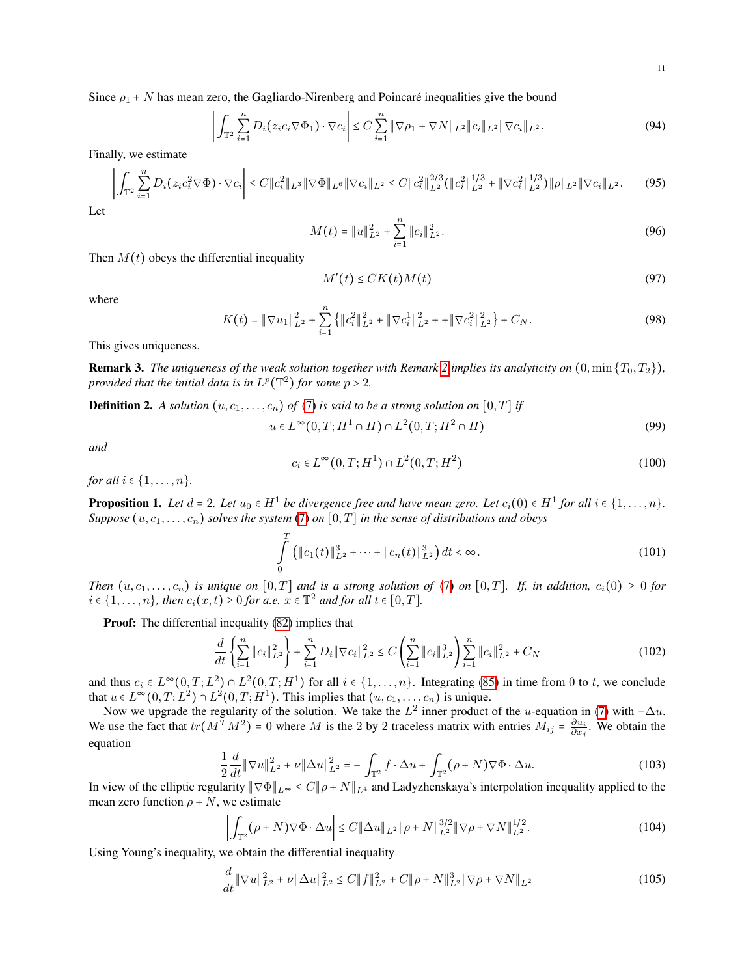Since  $\rho_1 + N$  has mean zero, the Gagliardo-Nirenberg and Poincaré inequalities give the bound

$$
\left| \int_{\mathbb{T}^2} \sum_{i=1}^n D_i(z_i c_i \nabla \Phi_1) \cdot \nabla c_i \right| \leq C \sum_{i=1}^n \|\nabla \rho_1 + \nabla N\|_{L^2} \|c_i\|_{L^2} \|\nabla c_i\|_{L^2}.
$$
\n(94)

Finally, we estimate

$$
\left| \int_{\mathbb{T}^2} \sum_{i=1}^n D_i(z_i c_i^2 \nabla \Phi) \cdot \nabla c_i \right| \le C \|c_i^2\|_{L^3} \|\nabla \Phi\|_{L^6} \|\nabla c_i\|_{L^2} \le C \|c_i^2\|_{L^2}^{2/3} (\|c_i^2\|_{L^2}^{1/3} + \|\nabla c_i^2\|_{L^2}^{1/3}) \|\rho\|_{L^2} \|\nabla c_i\|_{L^2}.
$$
 (95)

Let

$$
M(t) = \|u\|_{L^2}^2 + \sum_{i=1}^n \|c_i\|_{L^2}^2.
$$
 (96)

Then  $M(t)$  obeys the differential inequality

$$
M'(t) \le CK(t)M(t) \tag{97}
$$

where

$$
K(t) = \|\nabla u_1\|_{L^2}^2 + \sum_{i=1}^n \left\{ \|c_i^2\|_{L^2}^2 + \|\nabla c_i^1\|_{L^2}^2 + \|\nabla c_i^2\|_{L^2}^2 \right\} + C_N. \tag{98}
$$

This gives uniqueness.

**Remark 3.** *The uniqueness of the weak solution together with Remark* [2](#page-8-2) *implies its analyticity on*  $(0, \min\{T_0, T_2\})$ *, provided that the initial data is in*  $L^p(\mathbb{T}^2)$  *for some*  $p > 2$ *.* 

**Definition 2.** A solution  $(u, c_1, \ldots, c_n)$  of [\(7\)](#page-1-1) is said to be a strong solution on  $[0, T]$  if

$$
u \in L^{\infty}(0,T;H^1 \cap H) \cap L^2(0,T;H^2 \cap H)
$$
\n
$$
(99)
$$

*and*

$$
c_i \in L^{\infty}(0, T; H^1) \cap L^2(0, T; H^2)
$$
\n(100)

*for all*  $i \in \{1, ..., n\}$ *.* 

<span id="page-10-0"></span>**Proposition 1.** Let  $d = 2$ . Let  $u_0 \in H^1$  be divergence free and have mean zero. Let  $c_i(0) \in H^1$  for all  $i \in \{1, \ldots, n\}$ . *Suppose*  $(u, c_1, \ldots, c_n)$  *solves the system* [\(7\)](#page-1-1) *on*  $[0, T]$  *in the sense of distributions and obeys* 

<span id="page-10-1"></span>
$$
\int_{0}^{T} \left( \|c_1(t)\|_{L^2}^3 + \dots + \|c_n(t)\|_{L^2}^3 \right) dt < \infty. \tag{101}
$$

*Then*  $(u, c_1, \ldots, c_n)$  *is unique on*  $[0, T]$  *and is a strong solution of* [\(7\)](#page-1-1) *on*  $[0, T]$ *. If, in addition,*  $c_i(0) \ge 0$  *for*  $i \in \{1, \ldots, n\}$ , then  $c_i(x, t) \ge 0$  for a.e.  $x \in \mathbb{T}^2$  and for all  $t \in [0, T]$ .

Proof: The differential inequality [\(82\)](#page-8-1) implies that

$$
\frac{d}{dt}\left\{\sum_{i=1}^{n}||c_{i}||_{L^{2}}^{2}\right\} + \sum_{i=1}^{n}D_{i}||\nabla c_{i}||_{L^{2}}^{2} \leq C\left(\sum_{i=1}^{n}||c_{i}||_{L^{2}}^{3}\right)\sum_{i=1}^{n}||c_{i}||_{L^{2}}^{2} + C_{N}
$$
\n(102)

and thus  $c_i \in L^{\infty}(0, T; L^2) \cap L^2(0, T; H^1)$  for all  $i \in \{1, ..., n\}$ . Integrating [\(85\)](#page-9-0) in time from 0 to t, we conclude that  $u \in L^{\infty}(0,T; L^2) \cap L^2(0,T; H^1)$ . This implies that  $(u, c_1, \ldots, c_n)$  is unique.

Now we upgrade the regularity of the solution. We take the  $L^2$  inner product of the u-equation in [\(7\)](#page-1-1) with  $-\Delta u$ . We use the fact that  $tr(M^T M^2) = 0$  where M is the 2 by 2 traceless matrix with entries  $M_{ij} = \frac{\partial u_i}{\partial x_j}$ . We obtain the equation

$$
\frac{1}{2}\frac{d}{dt}\|\nabla u\|_{L^{2}}^{2} + \nu \|\Delta u\|_{L^{2}}^{2} = -\int_{\mathbb{T}^{2}} f \cdot \Delta u + \int_{\mathbb{T}^{2}} (\rho + N) \nabla \Phi \cdot \Delta u.
$$
\n(103)

In view of the elliptic regularity  $\|\nabla \Phi\|_{L^{\infty}} \leq C \|\rho + N\|_{L^4}$  and Ladyzhenskaya's interpolation inequality applied to the mean zero function  $\rho + N$ , we estimate

$$
\left| \int_{\mathbb{T}^2} (\rho + N) \nabla \Phi \cdot \Delta u \right| \le C \| \Delta u \|_{L^2} \| \rho + N \|_{L^2}^{3/2} \| \nabla \rho + \nabla N \|_{L^2}^{1/2}.
$$
 (104)

Using Young's inequality, we obtain the differential inequality

$$
\frac{d}{dt} \|\nabla u\|_{L^2}^2 + \nu \|\Delta u\|_{L^2}^2 \le C \|f\|_{L^2}^2 + C \|\rho + N\|_{L^2}^3 \|\nabla \rho + \nabla N\|_{L^2}
$$
\n(105)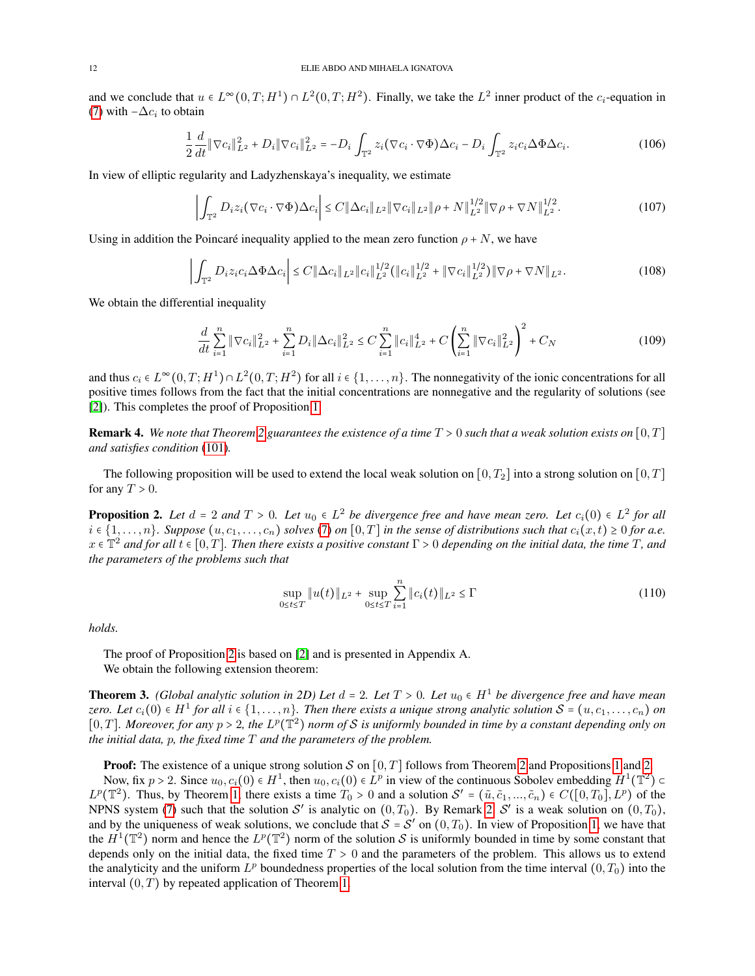and we conclude that  $u \in L^{\infty}(0,T; H^1) \cap L^2(0,T; H^2)$ . Finally, we take the  $L^2$  inner product of the  $c_i$ -equation in [\(7\)](#page-1-1) with  $-\Delta c_i$  to obtain

$$
\frac{1}{2}\frac{d}{dt}\|\nabla c_i\|_{L^2}^2 + D_i\|\nabla c_i\|_{L^2}^2 = -D_i \int_{\mathbb{T}^2} z_i (\nabla c_i \cdot \nabla \Phi) \Delta c_i - D_i \int_{\mathbb{T}^2} z_i c_i \Delta \Phi \Delta c_i.
$$
\n(106)

In view of elliptic regularity and Ladyzhenskaya's inequality, we estimate

$$
\left| \int_{\mathbb{T}^2} D_i z_i (\nabla c_i \cdot \nabla \Phi) \Delta c_i \right| \leq C \| \Delta c_i \|_{L^2} \| \nabla c_i \|_{L^2} \| \rho + N \|_{L^2}^{1/2} \| \nabla \rho + \nabla N \|_{L^2}^{1/2}.
$$
 (107)

Using in addition the Poincaré inequality applied to the mean zero function  $\rho + N$ , we have

$$
\left| \int_{\mathbb{T}^2} D_i z_i c_i \Delta \Phi \Delta c_i \right| \leq C \|\Delta c_i\|_{L^2} \|c_i\|_{L^2}^{1/2} \left( \|c_i\|_{L^2}^{1/2} + \|\nabla c_i\|_{L^2}^{1/2} \right) \|\nabla \rho + \nabla N\|_{L^2}.
$$
\n(108)

We obtain the differential inequality

$$
\frac{d}{dt} \sum_{i=1}^{n} \|\nabla c_{i}\|_{L^{2}}^{2} + \sum_{i=1}^{n} D_{i} \|\Delta c_{i}\|_{L^{2}}^{2} \leq C \sum_{i=1}^{n} \|c_{i}\|_{L^{2}}^{4} + C \left(\sum_{i=1}^{n} \|\nabla c_{i}\|_{L^{2}}^{2}\right)^{2} + C_{N}
$$
\n(109)

and thus  $c_i \in L^{\infty}(0,T;H^1) \cap L^2(0,T;H^2)$  for all  $i \in \{1,\ldots,n\}$ . The nonnegativity of the ionic concentrations for all<br>positive times follows from the feat that the initial expectations are perpendixing and the resultati positive times follows from the fact that the initial concentrations are nonnegative and the regularity of solutions (see [\[2\]](#page-18-2)). This completes the proof of Proposition [1.](#page-10-0)

**Remark 4.** We note that Theorem [2](#page-8-3) guarantees the existence of a time  $T > 0$  such that a weak solution exists on  $[0, T]$ *and satisfies condition* [\(101\)](#page-10-1)*.*

The following proposition will be used to extend the local weak solution on [0, T<sub>2</sub>] into a strong solution on [0, T] for any  $T > 0$ .

<span id="page-11-0"></span>**Proposition 2.** Let  $d = 2$  and  $T > 0$ . Let  $u_0 \in L^2$  be divergence free and have mean zero. Let  $c_i(0) \in L^2$  for all<br>i.e.  $(1, u_0)$ , Summer (*i.e. s.g.)* subset (7) as [0, T] in the summer of distributions and that  $c(u,$  $i \in \{1,\ldots,n\}$ . Suppose  $(u, c_1,\ldots,c_n)$  solves [\(7\)](#page-1-1) on [0, T] in the sense of distributions such that  $c_i(x,t) \geq 0$  for a.e.  $x \in \mathbb{T}^2$  and for all  $t \in [0, T]$ . Then there exists a positive constant  $\Gamma > 0$  depending on the initial data, the time T, and *the parameters of the problems such that*

$$
\sup_{0 \le t \le T} \|u(t)\|_{L^2} + \sup_{0 \le t \le T} \sum_{i=1}^n \|c_i(t)\|_{L^2} \le \Gamma
$$
\n(110)

*holds.*

The proof of Proposition [2](#page-11-0) is based on [\[2\]](#page-18-2) and is presented in Appendix A. We obtain the following extension theorem:

<span id="page-11-1"></span>**Theorem 3.** *(Global analytic solution in 2D) Let*  $d = 2$ *. Let*  $T > 0$ *. Let*  $u_0 \in H^1$  *be divergence free and have mean*<br>  $\mathbf{u}_0 \in H^1$  (a)  $\mathbf{u}_1 \in (0)$  is  $H^1$  for all i.e.  $(1, u_0)$ . Then there with a miner str *zero.* Let  $c_i(0) \in H^1$  for all  $i \in \{1, ..., n\}$ . Then there exists a unique strong analytic solution  $\mathcal{S} = (u, c_1, ..., c_n)$  on<br>[0. T] Managuar for guy n > 2. the  $L^p(\mathbb{T}^2)$  name of S is uniformly have ded in time by a s [0, T]. Moreover, for any  $p > 2$ , the  $L^p(\mathbb{T}^2)$  norm of S is uniformly bounded in time by a constant depending only on<br>the initial data  $p$ , the fixed time  $T$  and the parameters of the problem. *the initial data,* p*, the fixed time* T *and the parameters of the problem.*

**Proof:** The existence of a unique strong solution S on  $[0, T]$  follows from Theorem [2](#page-8-3) and Propositions [1](#page-10-0) and [2.](#page-11-0)

Now, fix  $p > 2$ . Since  $u_0, c_i(0) \in H^1$ , then  $u_0, c_i(0) \in L^p$  in view of the continuous Sobolev embedding  $H^1(\mathbb{T}^2)$ Now, IIX  $p > 2$ . Since  $u_0, c_i(0) \in H^2$ , then  $u_0, c_i(0) \in L^p$  in view of the continuous Sobolev embedding  $H^2(\mathbb{I}^2) \subset L^p(\mathbb{T}^2)$ . Thus, by Theorem [1,](#page-1-2) there exists a time  $T_0 > 0$  and a solution  $S' = (\tilde{u}, \tilde{c}_1, ..., \til$ NPNS system [\(7\)](#page-1-1) such that the solution S' is analytic on  $(0, T_0)$ . By Remark [2,](#page-8-2) S' is a weak solution on  $(0, T_0)$ , and by the uniqueness of weak solutions, we conclude that  $S = S'$  on  $(0, T_0)$ . In view of Proposition [1,](#page-10-0) we have that the  $H^1(\mathbb{T}^2)$  norm and have the  $H^1(\mathbb{T}^2)$  norm of the solution S is uniformly have ded in time the  $H^1(\mathbb{T}^2)$  norm and hence the  $L^p(\mathbb{T}^2)$  norm of the solution S is uniformly bounded in time by some constant that depends only on the initial data, the fixed time  $T > 0$  and the parameters of the problem. This allows us to extend the analyticity and the uniform  $L^p$  boundedness properties of the local solution from the time interval  $(0, T_0)$  into the interval  $(0, T)$  by repeated application of Theorem [1.](#page-1-2)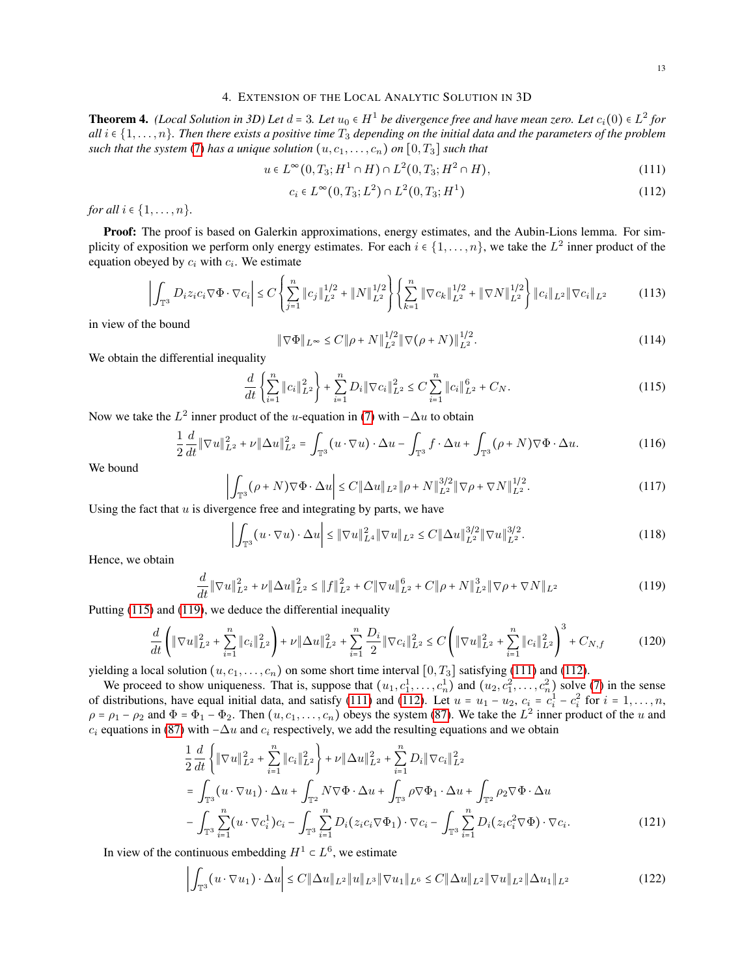### 4. EXTENSION OF THE LOCAL ANALYTIC SOLUTION IN 3D

<span id="page-12-0"></span>**Theorem 4.** *(Local Solution in 3D) Let*  $d = 3$ *. Let*  $u_0 \in H^1$  *be divergence free and have mean zero. Let*  $c_i(0) \in L^2$  *for*  $c_i(1)$  and  $r_i(0)$  *all is*  $c_i(1)$  *and the neurating of the problem all*  $i \in \{1, \ldots, n\}$ . Then there exists a positive time  $T_3$  depending on the initial data and the parameters of the problem *such that the system* [\(7\)](#page-1-1) *has a unique solution*  $(u, c_1, \ldots, c_n)$  *on*  $[0, T_3]$  *such that* 

<span id="page-12-3"></span>
$$
u \in L^{\infty}(0, T_3; H^1 \cap H) \cap L^2(0, T_3; H^2 \cap H), \tag{111}
$$

<span id="page-12-4"></span>
$$
c_i \in L^{\infty}(0, T_3; L^2) \cap L^2(0, T_3; H^1)
$$
\n(112)

*for all*  $i \in \{1, ..., n\}$ *.* 

Proof: The proof is based on Galerkin approximations, energy estimates, and the Aubin-Lions lemma. For simplicity of exposition we perform only energy estimates. For each  $i \in \{1, \ldots, n\}$ , we take the  $L^2$  inner product of the equation obeyed by  $c_i$  with  $c_i$ . We estimate

$$
\left| \int_{\mathbb{T}^3} D_i z_i c_i \nabla \Phi \cdot \nabla c_i \right| \leq C \left\{ \sum_{j=1}^n \|c_j\|_{L^2}^{1/2} + \|N\|_{L^2}^{1/2} \right\} \left\{ \sum_{k=1}^n \|\nabla c_k\|_{L^2}^{1/2} + \|\nabla N\|_{L^2}^{1/2} \right\} \|c_i\|_{L^2} \|\nabla c_i\|_{L^2}
$$
(113)

in view of the bound

$$
\|\nabla\Phi\|_{L^{\infty}} \le C\|\rho + N\|_{L^{2}}^{1/2} \|\nabla(\rho + N)\|_{L^{2}}^{1/2}.
$$
\n(114)

We obtain the differential inequality

<span id="page-12-1"></span>
$$
\frac{d}{dt}\left\{\sum_{i=1}^{n}||c_{i}||_{L^{2}}^{2}\right\}+\sum_{i=1}^{n}D_{i}||\nabla c_{i}||_{L^{2}}^{2} \leq C\sum_{i=1}^{n}||c_{i}||_{L^{2}}^{6}+C_{N}.
$$
\n(115)

Now we take the  $L^2$  inner product of the u-equation in [\(7\)](#page-1-1) with  $-\Delta u$  to obtain

$$
\frac{1}{2}\frac{d}{dt}\|\nabla u\|_{L^2}^2 + \nu \|\Delta u\|_{L^2}^2 = \int_{\mathbb{T}^3} (u \cdot \nabla u) \cdot \Delta u - \int_{\mathbb{T}^3} f \cdot \Delta u + \int_{\mathbb{T}^3} (\rho + N) \nabla \Phi \cdot \Delta u.
$$
 (116)

We bound

$$
\left| \int_{\mathbb{T}^3} (\rho + N) \nabla \Phi \cdot \Delta u \right| \le C \| \Delta u \|_{L^2} \| \rho + N \|_{L^2}^{3/2} \| \nabla \rho + \nabla N \|_{L^2}^{1/2}.
$$
 (117)

Using the fact that  $u$  is divergence free and integrating by parts, we have

$$
\left| \int_{\mathbb{T}^3} (u \cdot \nabla u) \cdot \Delta u \right| \leq \|\nabla u\|_{L^4}^2 \|\nabla u\|_{L^2} \leq C \|\Delta u\|_{L^2}^{3/2} \|\nabla u\|_{L^2}^{3/2}.
$$
 (118)

Hence, we obtain

<span id="page-12-2"></span>
$$
\frac{d}{dt} \|\nabla u\|_{L^2}^2 + \nu \|\Delta u\|_{L^2}^2 \le \|f\|_{L^2}^2 + C \|\nabla u\|_{L^2}^6 + C \|\rho + N\|_{L^2}^3 \|\nabla \rho + \nabla N\|_{L^2}
$$
\n(119)

Putting [\(115\)](#page-12-1) and [\(119\)](#page-12-2), we deduce the differential inequality

$$
\frac{d}{dt}\left(\|\nabla u\|_{L^{2}}^{2} + \sum_{i=1}^{n} \|c_{i}\|_{L^{2}}^{2}\right) + \nu \|\Delta u\|_{L^{2}}^{2} + \sum_{i=1}^{n} \frac{D_{i}}{2}\|\nabla c_{i}\|_{L^{2}}^{2} \leq C\left(\|\nabla u\|_{L^{2}}^{2} + \sum_{i=1}^{n} \|c_{i}\|_{L^{2}}^{2}\right)^{3} + C_{N,f} \tag{120}
$$

yielding a local solution  $(u, c_1, \ldots, c_n)$  on some short time interval  $[0, T_3]$  satisfying [\(111\)](#page-12-3) and [\(112\)](#page-12-4).

We proceed to show uniqueness. That is, suppose that  $(u_1, c_1^1, \ldots, c_n^1)$  and  $(u_2, c_1^2, \ldots, c_n^2)$  solve [\(7\)](#page-1-1) in the sense of distributions, have equal initial data, and satisfy [\(111\)](#page-12-3) and [\(112\)](#page-12-4). Let  $u = u_1 - u_2$ ,  $c_i = c_i^1 - c_i^2$  for  $i = 1, ..., n$ ,  $\rho = \rho_1 - \rho_2$  and  $\Phi = \Phi_1 - \Phi_2$ . Then  $(u, c_1, \dots, c_n)$  obeys the system [\(87\)](#page-9-1). We take the  $L^2$  inner product of the u and  $c_i$  equations in [\(87\)](#page-9-1) with  $-\Delta u$  and  $c_i$  respectively, we add the resulting equations and we obtain

$$
\frac{1}{2} \frac{d}{dt} \left\{ \|\nabla u\|_{L^{2}}^{2} + \sum_{i=1}^{n} \|c_{i}\|_{L^{2}}^{2} \right\} + \nu \|\Delta u\|_{L^{2}}^{2} + \sum_{i=1}^{n} D_{i} \|\nabla c_{i}\|_{L^{2}}^{2}
$$
\n
$$
= \int_{\mathbb{T}^{3}} (u \cdot \nabla u_{1}) \cdot \Delta u + \int_{\mathbb{T}^{2}} N \nabla \Phi \cdot \Delta u + \int_{\mathbb{T}^{3}} \rho \nabla \Phi_{1} \cdot \Delta u + \int_{\mathbb{T}^{2}} \rho_{2} \nabla \Phi \cdot \Delta u
$$
\n
$$
- \int_{\mathbb{T}^{3}} \sum_{i=1}^{n} (u \cdot \nabla c_{i}^{1}) c_{i} - \int_{\mathbb{T}^{3}} \sum_{i=1}^{n} D_{i} (z_{i} c_{i} \nabla \Phi_{1}) \cdot \nabla c_{i} - \int_{\mathbb{T}^{3}} \sum_{i=1}^{n} D_{i} (z_{i} c_{i}^{2} \nabla \Phi) \cdot \nabla c_{i}.
$$
\n(121)

In view of the continuous embedding  $H^1 \subset L^6$ , we estimate

$$
\left| \int_{\mathbb{T}^3} (u \cdot \nabla u_1) \cdot \Delta u \right| \le C \| \Delta u \|_{L^2} \| u \|_{L^3} \| \nabla u_1 \|_{L^6} \le C \| \Delta u \|_{L^2} \| \nabla u \|_{L^2} \| \Delta u_1 \|_{L^2}
$$
\n(122)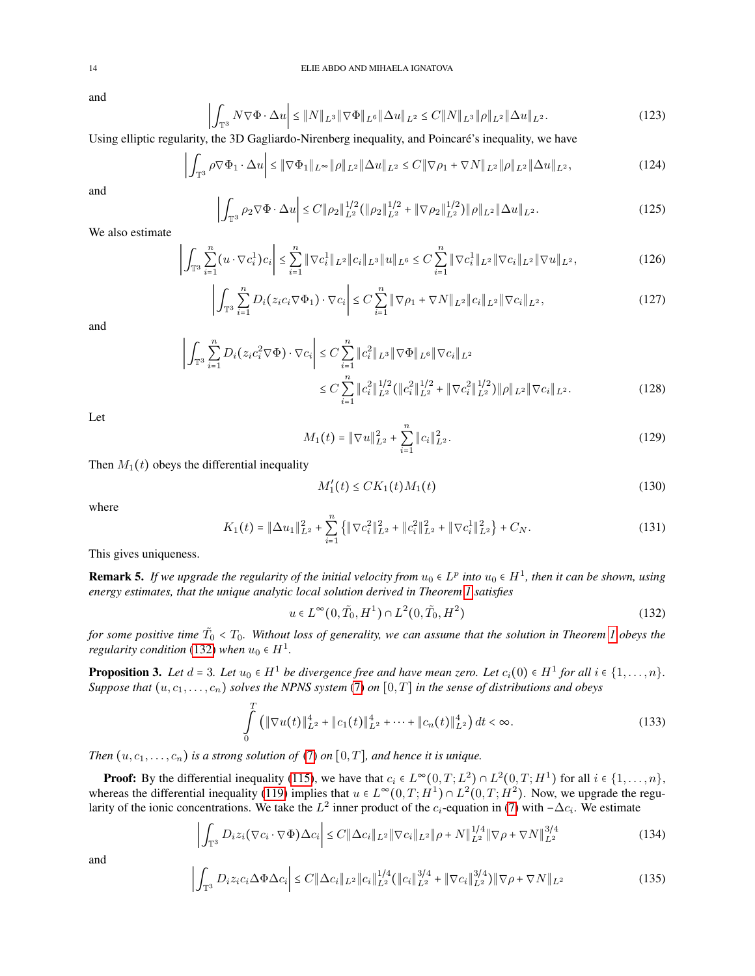and

$$
\left| \int_{\mathbb{T}^3} N \nabla \Phi \cdot \Delta u \right| \le \|N\|_{L^3} \|\nabla \Phi\|_{L^6} \|\Delta u\|_{L^2} \le C \|N\|_{L^3} \|\rho\|_{L^2} \|\Delta u\|_{L^2}.
$$
 (123)

Using elliptic regularity, the 3D Gagliardo-Nirenberg inequality, and Poincare's inequality, we have ´

$$
\left| \int_{\mathbb{T}^3} \rho \nabla \Phi_1 \cdot \Delta u \right| \leq \|\nabla \Phi_1\|_{L^\infty} \|\rho\|_{L^2} \|\Delta u\|_{L^2} \leq C \|\nabla \rho_1 + \nabla N\|_{L^2} \|\rho\|_{L^2} \|\Delta u\|_{L^2},\tag{124}
$$

and

$$
\left| \int_{\mathbb{T}^3} \rho_2 \nabla \Phi \cdot \Delta u \right| \le C \| \rho_2 \|_{L^2}^{1/2} \left( \| \rho_2 \|_{L^2}^{1/2} + \| \nabla \rho_2 \|_{L^2}^{1/2} \right) \| \rho \|_{L^2} \| \Delta u \|_{L^2}.
$$
 (125)

We also estimate

$$
\left| \int_{\mathbb{T}^3} \sum_{i=1}^n (u \cdot \nabla c_i^1) c_i \right| \leq \sum_{i=1}^n \|\nabla c_i^1\|_{L^2} \|c_i\|_{L^3} \|u\|_{L^6} \leq C \sum_{i=1}^n \|\nabla c_i^1\|_{L^2} \|\nabla c_i\|_{L^2} \|\nabla u\|_{L^2},\tag{126}
$$

$$
\left| \int_{\mathbb{T}^3} \sum_{i=1}^n D_i(z_i c_i \nabla \Phi_1) \cdot \nabla c_i \right| \leq C \sum_{i=1}^n \|\nabla \rho_1 + \nabla N\|_{L^2} \|c_i\|_{L^2} \|\nabla c_i\|_{L^2},\tag{127}
$$

and

$$
\left| \int_{\mathbb{T}^3} \sum_{i=1}^n D_i(z_i c_i^2 \nabla \Phi) \cdot \nabla c_i \right| \leq C \sum_{i=1}^n \|c_i^2\|_{L^3} \|\nabla \Phi\|_{L^6} \|\nabla c_i\|_{L^2}
$$
  

$$
\leq C \sum_{i=1}^n \|c_i^2\|_{L^2}^{1/2} (\|c_i^2\|_{L^2}^{1/2} + \|\nabla c_i^2\|_{L^2}^{1/2}) \|\rho\|_{L^2} \|\nabla c_i\|_{L^2}.
$$
 (128)

Let

$$
M_1(t) = \|\nabla u\|_{L^2}^2 + \sum_{i=1}^n \|c_i\|_{L^2}^2.
$$
 (129)

Then  $M_1(t)$  obeys the differential inequality

$$
M_1'(t) \le CK_1(t)M_1(t) \tag{130}
$$

where

$$
K_1(t) = \|\Delta u_1\|_{L^2}^2 + \sum_{i=1}^n \left\{ \|\nabla c_i^2\|_{L^2}^2 + \|c_i^2\|_{L^2}^2 + \|\nabla c_i^1\|_{L^2}^2 \right\} + C_N. \tag{131}
$$

This gives uniqueness.

**Remark 5.** *If we upgrade the regularity of the initial velocity from*  $u_0 \,\epsilon L^p$  *into*  $u_0 \epsilon H^1$ *, then it can be shown, using energy estimates, that the unique analytic local solution derived in Theorem [1](#page-1-2) satisfies*

<span id="page-13-0"></span>
$$
u \in L^{\infty}(0, \tilde{T}_0, H^1) \cap L^2(0, \tilde{T}_0, H^2)
$$
\n(132)

*for some positive time*  $\tilde{T}_0 < T_0$ *. Without loss of generality, we can assume that the solution in Theorem [1](#page-1-2) obeys the*<br>maxilarity candition (132) when  $\alpha \in H^1$ *regularity condition* [\(132\)](#page-13-0) *when*  $u_0 \in H^1$ .

<span id="page-13-1"></span>**Proposition 3.** Let  $d = 3$ . Let  $u_0 \in H^1$  be divergence free and have mean zero. Let  $c_i(0) \in H^1$  for all  $i \in \{1, \ldots, n\}$ .<br>Suppose that  $(v_0, c_1, \ldots, c_n)$  colluse the MBNS quotane (7) on [0, T] in the same of distributi *Suppose that*  $(u, c_1, \ldots, c_n)$  *solves the NPNS system* [\(7\)](#page-1-1) *on*  $[0, T]$  *in the sense of distributions and obeys* 

$$
\int_{0}^{T} \left( \|\nabla u(t)\|_{L^{2}}^{4} + \|c_{1}(t)\|_{L^{2}}^{4} + \cdots + \|c_{n}(t)\|_{L^{2}}^{4} \right) dt < \infty.
$$
\n(133)

*Then*  $(u, c_1, \ldots, c_n)$  *is a strong solution of* [\(7\)](#page-1-1) *on* [0, *T*]*, and hence it is unique.* 

**Proof:** By the differential inequality [\(115\)](#page-12-1), we have that  $c_i \in L^\infty(0,T; L^2) \cap L^2(0,T; H^1)$  for all  $i \in \{1,\ldots,n\}$ , and  $c_i \in L^\infty(0,T; H^1) \cap L^2(0,T; H^2)$ . Now we up and the next properties the differential inequality (110) whereas the differential inequality [\(119\)](#page-12-2) implies that  $u \in L^{\infty}(0,T;H^1) \cap L^2(0,T;H^2)$ . Now, we upgrade the regu-<br>latitude fits is the indicance opportunities. We take the L<sup>2</sup> image and set of the convention in (7) with larity of the ionic concentrations. We take the  $L^2$  inner product of the  $c_i$ -equation in [\(7\)](#page-1-1) with  $-\Delta c_i$ . We estimate

$$
\left| \int_{\mathbb{T}^3} D_i z_i (\nabla c_i \cdot \nabla \Phi) \Delta c_i \right| \leq C \| \Delta c_i \|_{L^2} \| \nabla c_i \|_{L^2} \| \rho + N \|_{L^2}^{1/4} \| \nabla \rho + \nabla N \|_{L^2}^{3/4}
$$
\n(134)

and

$$
\left| \int_{\mathbb{T}^3} D_i z_i c_i \Delta \Phi \Delta c_i \right| \leq C \| \Delta c_i \|_{L^2} \| c_i \|_{L^2}^{1/4} ( \| c_i \|_{L^2}^{3/4} + \| \nabla c_i \|_{L^2}^{3/4} ) \| \nabla \rho + \nabla N \|_{L^2}
$$
\n(135)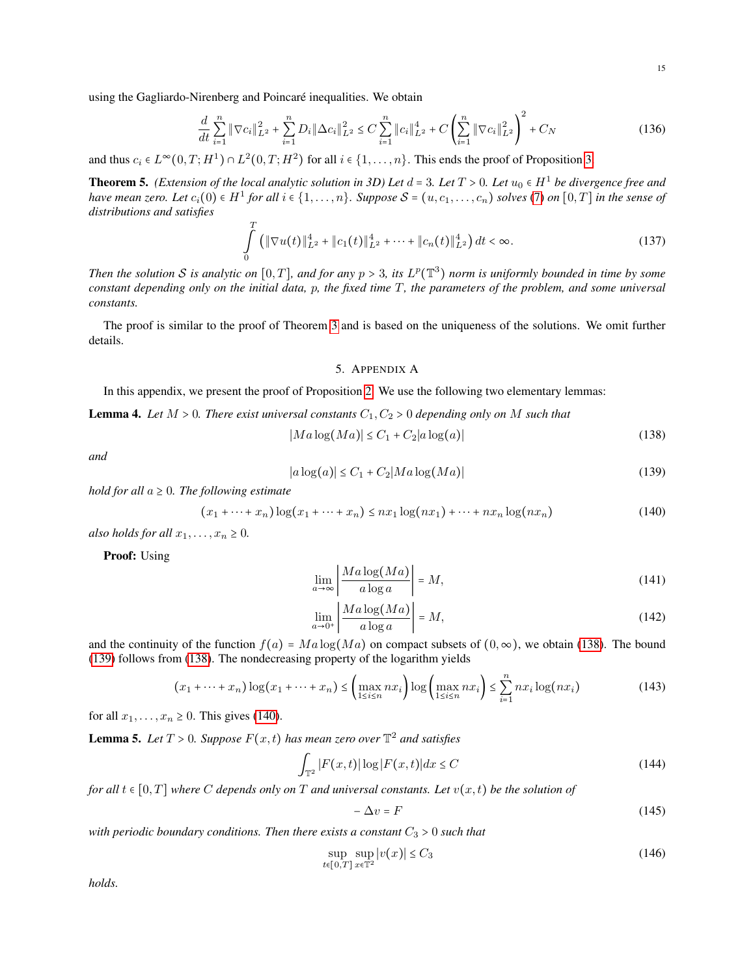using the Gagliardo-Nirenberg and Poincaré inequalities. We obtain

$$
\frac{d}{dt} \sum_{i=1}^{n} \|\nabla c_i\|_{L^2}^2 + \sum_{i=1}^{n} D_i \|\Delta c_i\|_{L^2}^2 \le C \sum_{i=1}^{n} \|c_i\|_{L^2}^4 + C \left(\sum_{i=1}^{n} \|\nabla c_i\|_{L^2}^2\right)^2 + C_N
$$
\n(136)

and thus  $c_i \in L^{\infty}(0,T;H^1) \cap L^2(0,T;H^2)$  for all  $i \in \{1,\ldots,n\}$ . This ends the proof of Proposition [3.](#page-13-1)

**Theorem 5.** *(Extension of the local analytic solution in 3D) Let*  $d = 3$ *. Let*  $T > 0$ *. Let*  $u_0 \in H^1$  *be divergence free and*  $h$  and  $g$  and  $g$   $h$  and  $g$   $h$   $g$   $h$   $g$   $h$   $g$   $g$   $h$   $g$   $h$   $g$   $g$   $h$   $g$  *have mean zero. Let*  $c_i(0)$  ∈  $H^1$  *for all*  $i$  ∈  $\{1, \ldots, n\}$ *. Suppose*  $S = (u, c_1, \ldots, c_n)$  *solves* [\(7\)](#page-1-1) *on*  $[0, T]$  *in the sense of distributions and satisfies*

$$
\int_{0}^{T} \left( \|\nabla u(t)\|_{L^{2}}^{4} + \|c_{1}(t)\|_{L^{2}}^{4} + \cdots + \|c_{n}(t)\|_{L^{2}}^{4} \right) dt < \infty.
$$
\n(137)

*Then the solution* S is analytic on  $[0, T]$ , and for any  $p > 3$ , its  $L^p(\mathbb{T}^3)$  norm is uniformly bounded in time by some *constant depending only on the initial data,* p*, the fixed time* T*, the parameters of the problem, and some universal constants.*

The proof is similar to the proof of Theorem [3](#page-11-1) and is based on the uniqueness of the solutions. We omit further details.

# 5. APPENDIX A

In this appendix, we present the proof of Proposition [2.](#page-11-0) We use the following two elementary lemmas:

<span id="page-14-5"></span>**Lemma 4.** Let  $M > 0$ . There exist universal constants  $C_1, C_2 > 0$  depending only on M such that

<span id="page-14-0"></span>
$$
|Ma\log(Ma)| \le C_1 + C_2|a\log(a)|\tag{138}
$$

*and*

<span id="page-14-1"></span>
$$
|a\log(a)| \leq C_1 + C_2 |Ma\log(Ma)| \tag{139}
$$

*hold for all*  $a \geq 0$ *. The following estimate* 

<span id="page-14-2"></span>
$$
(x_1 + \dots + x_n) \log(x_1 + \dots + x_n) \le nx_1 \log(nx_1) + \dots + nx_n \log(nx_n)
$$
\n
$$
(140)
$$

*also holds for all*  $x_1, \ldots, x_n \geq 0$ .

Proof: Using

$$
\lim_{a \to \infty} \left| \frac{Ma \log(Ma)}{a \log a} \right| = M,\tag{141}
$$

$$
\lim_{a \to 0^+} \left| \frac{Ma \log(Ma)}{a \log a} \right| = M,\tag{142}
$$

and the continuity of the function  $f(a) = Ma \log(Ma)$  on compact subsets of  $(0, \infty)$ , we obtain [\(138\)](#page-14-0). The bound [\(139\)](#page-14-1) follows from [\(138\)](#page-14-0). The nondecreasing property of the logarithm yields

$$
(x_1 + \dots + x_n) \log(x_1 + \dots + x_n) \leq \left(\max_{1 \leq i \leq n} nx_i\right) \log\left(\max_{1 \leq i \leq n} nx_i\right) \leq \sum_{i=1}^n nx_i \log(nx_i)
$$
(143)

for all  $x_1, \ldots, x_n \geq 0$ . This gives [\(140\)](#page-14-2).

<span id="page-14-6"></span>**Lemma 5.** Let  $T > 0$ . Suppose  $F(x, t)$  has mean zero over  $\mathbb{T}^2$  and satisfies

<span id="page-14-3"></span>
$$
\int_{\mathbb{T}^2} |F(x,t)| \log |F(x,t)| dx \le C \tag{144}
$$

*for all*  $t \in [0, T]$  *where* C *depends only on* T *and universal constants. Let*  $v(x, t)$  *be the solution of* 

$$
-\Delta v = F \tag{145}
$$

*with periodic boundary conditions. Then there exists a constant*  $C_3 > 0$  *such that* 

<span id="page-14-4"></span>
$$
\sup_{t \in [0,T]} \sup_{x \in \mathbb{T}^2} |v(x)| \le C_3 \tag{146}
$$

*holds.*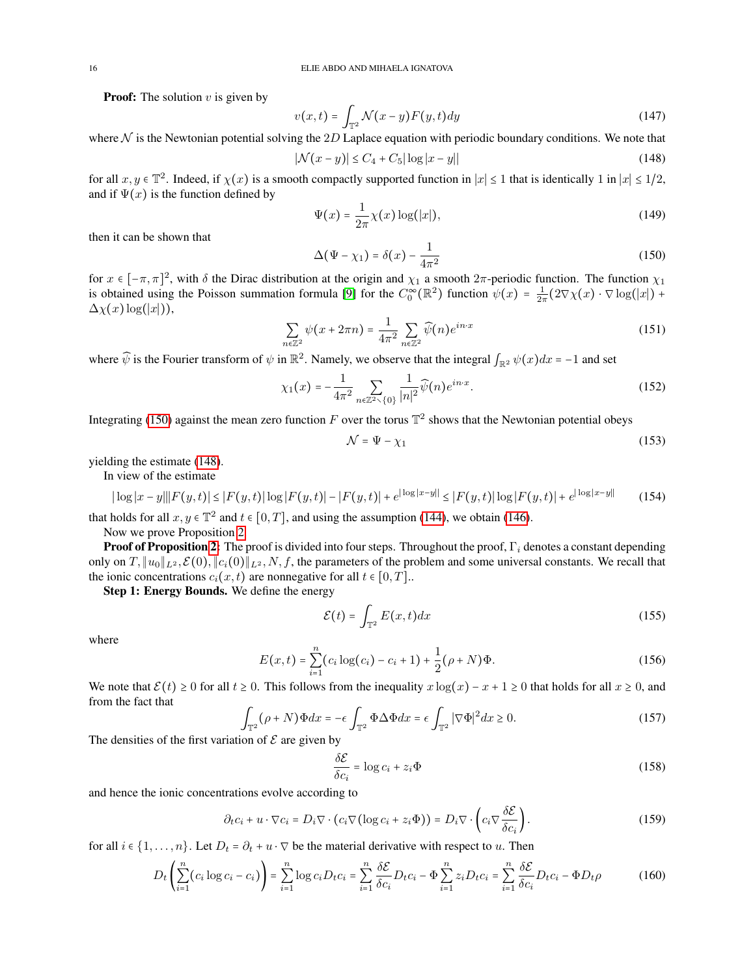**Proof:** The solution  $v$  is given by

$$
v(x,t) = \int_{\mathbb{T}^2} \mathcal{N}(x-y) F(y,t) dy
$$
\n(147)

where  $N$  is the Newtonian potential solving the 2D Laplace equation with periodic boundary conditions. We note that

<span id="page-15-1"></span>
$$
|\mathcal{N}(x - y)| \le C_4 + C_5 |\log|x - y|| \tag{148}
$$

for all  $x, y \in \mathbb{T}^2$ . Indeed, if  $\chi(x)$  is a smooth compactly supported function in  $|x| \le 1$  that is identically 1 in  $|x| \le 1/2$ , and if  $\Psi(x)$  is the function defined by

$$
\Psi(x) = \frac{1}{2\pi} \chi(x) \log(|x|),\tag{149}
$$

then it can be shown that

<span id="page-15-0"></span>
$$
\Delta(\Psi - \chi_1) = \delta(x) - \frac{1}{4\pi^2} \tag{150}
$$

for  $x \in [-\pi, \pi]^2$ , with  $\delta$  the Dirac distribution at the origin and  $\chi_1$  a smooth  $2\pi$ -periodic function. The function  $\chi_1$ is obtained using the Poisson summation formula [\[9\]](#page-18-8) for the  $C_0^{\infty}(\mathbb{R}^2)$  function  $\psi(x) = \frac{1}{2\pi} (2\nabla \chi(x) \cdot \nabla \log(|x|) +$  $\Delta \chi(x) \log(|x|)$ ),

$$
\sum_{n\in\mathbb{Z}^2} \psi(x+2\pi n) = \frac{1}{4\pi^2} \sum_{n\in\mathbb{Z}^2} \widehat{\psi}(n) e^{in\cdot x} \tag{151}
$$

where  $\hat{\psi}$  is the Fourier transform of  $\psi$  in  $\mathbb{R}^2$ . Namely, we observe that the integral  $\int_{\mathbb{R}^2} \psi(x) dx = -1$  and set

$$
\chi_1(x) = -\frac{1}{4\pi^2} \sum_{n \in \mathbb{Z}^2 \setminus \{0\}} \frac{1}{|n|^2} \widehat{\psi}(n) e^{in \cdot x}.
$$
 (152)

Integrating [\(150\)](#page-15-0) against the mean zero function F over the torus  $\mathbb{T}^2$  shows that the Newtonian potential obeys

$$
\mathcal{N} = \Psi - \chi_1 \tag{153}
$$

yielding the estimate [\(148\)](#page-15-1).

In view of the estimate

$$
|\log|x - y|||F(y, t)| \le |F(y, t)| \log|F(y, t)| - |F(y, t)| + e^{|\log|x - y||} \le |F(y, t)| \log|F(y, t)| + e^{|\log|x - y||} \tag{154}
$$

that holds for all  $x, y \in \mathbb{T}^2$  and  $t \in [0, T]$ , and using the assumption [\(144\)](#page-14-3), we obtain [\(146\)](#page-14-4).

Now we prove Proposition [2.](#page-11-0)

**Proof of Proposition [2:](#page-11-0)** The proof is divided into four steps. Throughout the proof,  $\Gamma_i$  denotes a constant depending only on  $T$ ,  $||u_0||_{L^2}$ ,  $\mathcal{E}(0)$ ,  $||c_i(0)||_{L^2}$ ,  $N$ ,  $f$ , the parameters of the problem and some universal constants. We recall that the ionic concentrations  $c_i(x, t)$  are nonnegative for all  $t \in [0, T]$ .

Step 1: Energy Bounds. We define the energy

$$
\mathcal{E}(t) = \int_{\mathbb{T}^2} E(x, t) dx
$$
 (155)

where

$$
E(x,t) = \sum_{i=1}^{n} (c_i \log(c_i) - c_i + 1) + \frac{1}{2} (\rho + N) \Phi.
$$
 (156)

We note that  $\mathcal{E}(t) \ge 0$  for all  $t \ge 0$ . This follows from the inequality  $x \log(x) - x + 1 \ge 0$  that holds for all  $x \ge 0$ , and from the fact that

$$
\int_{\mathbb{T}^2} (\rho + N) \Phi dx = -\epsilon \int_{\mathbb{T}^2} \Phi \Delta \Phi dx = \epsilon \int_{\mathbb{T}^2} |\nabla \Phi|^2 dx \ge 0.
$$
\n(157)

The densities of the first variation of  $\mathcal E$  are given by

$$
\frac{\delta \mathcal{E}}{\delta c_i} = \log c_i + z_i \Phi \tag{158}
$$

and hence the ionic concentrations evolve according to

$$
\partial_t c_i + u \cdot \nabla c_i = D_i \nabla \cdot (c_i \nabla (\log c_i + z_i \Phi)) = D_i \nabla \cdot \left( c_i \nabla \frac{\delta \mathcal{E}}{\delta c_i} \right). \tag{159}
$$

for all  $i \in \{1, \ldots, n\}$ . Let  $D_t = \partial_t + u \cdot \nabla$  be the material derivative with respect to u. Then

$$
D_t\left(\sum_{i=1}^n (c_i \log c_i - c_i)\right) = \sum_{i=1}^n \log c_i D_t c_i = \sum_{i=1}^n \frac{\delta \mathcal{E}}{\delta c_i} D_t c_i - \Phi \sum_{i=1}^n z_i D_t c_i = \sum_{i=1}^n \frac{\delta \mathcal{E}}{\delta c_i} D_t c_i - \Phi D_t \rho
$$
(160)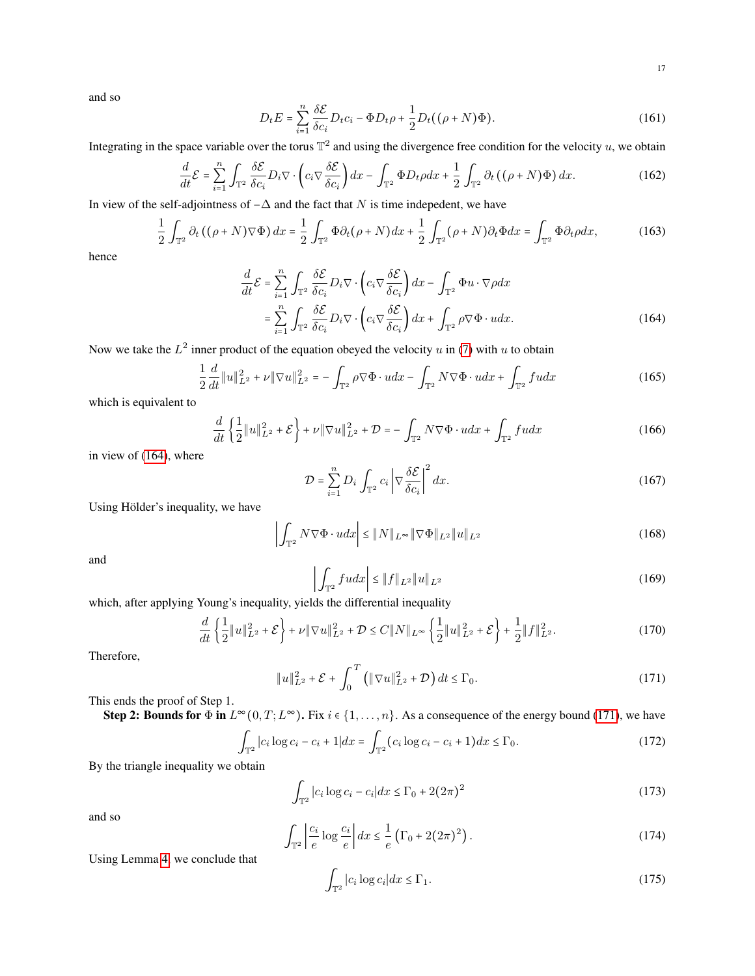and so

$$
D_t E = \sum_{i=1}^n \frac{\delta \mathcal{E}}{\delta c_i} D_t c_i - \Phi D_t \rho + \frac{1}{2} D_t ((\rho + N) \Phi). \tag{161}
$$

Integrating in the space variable over the torus  $\mathbb{T}^2$  and using the divergence free condition for the velocity u, we obtain

$$
\frac{d}{dt}\mathcal{E} = \sum_{i=1}^{n} \int_{\mathbb{T}^2} \frac{\delta \mathcal{E}}{\delta c_i} D_i \nabla \cdot \left( c_i \nabla \frac{\delta \mathcal{E}}{\delta c_i} \right) dx - \int_{\mathbb{T}^2} \Phi D_t \rho dx + \frac{1}{2} \int_{\mathbb{T}^2} \partial_t \left( (\rho + N) \Phi \right) dx. \tag{162}
$$

In view of the self-adjointness of  $-\Delta$  and the fact that N is time indepedent, we have

$$
\frac{1}{2} \int_{\mathbb{T}^2} \partial_t \left( (\rho + N) \nabla \Phi \right) dx = \frac{1}{2} \int_{\mathbb{T}^2} \Phi \partial_t (\rho + N) dx + \frac{1}{2} \int_{\mathbb{T}^2} (\rho + N) \partial_t \Phi dx = \int_{\mathbb{T}^2} \Phi \partial_t \rho dx, \tag{163}
$$

hence

$$
\frac{d}{dt}\mathcal{E} = \sum_{i=1}^{n} \int_{\mathbb{T}^2} \frac{\delta \mathcal{E}}{\delta c_i} D_i \nabla \cdot \left( c_i \nabla \frac{\delta \mathcal{E}}{\delta c_i} \right) dx - \int_{\mathbb{T}^2} \Phi u \cdot \nabla \rho dx
$$

$$
= \sum_{i=1}^{n} \int_{\mathbb{T}^2} \frac{\delta \mathcal{E}}{\delta c_i} D_i \nabla \cdot \left( c_i \nabla \frac{\delta \mathcal{E}}{\delta c_i} \right) dx + \int_{\mathbb{T}^2} \rho \nabla \Phi \cdot u dx. \tag{164}
$$

Now we take the  $L^2$  inner product of the equation obeyed the velocity u in [\(7\)](#page-1-1) with u to obtain

$$
\frac{1}{2}\frac{d}{dt}\|u\|_{L^{2}}^{2} + \nu \|\nabla u\|_{L^{2}}^{2} = -\int_{\mathbb{T}^{2}} \rho \nabla \Phi \cdot u dx - \int_{\mathbb{T}^{2}} N \nabla \Phi \cdot u dx + \int_{\mathbb{T}^{2}} f u dx \tag{165}
$$

which is equivalent to

$$
\frac{d}{dt}\left\{\frac{1}{2}\|u\|_{L^2}^2 + \mathcal{E}\right\} + \nu \|\nabla u\|_{L^2}^2 + \mathcal{D} = -\int_{\mathbb{T}^2} N \nabla \Phi \cdot u dx + \int_{\mathbb{T}^2} f u dx \tag{166}
$$

in view of [\(164\)](#page-16-0), where

<span id="page-16-0"></span>
$$
\mathcal{D} = \sum_{i=1}^{n} D_i \int_{\mathbb{T}^2} c_i \left| \nabla \frac{\delta \mathcal{E}}{\delta c_i} \right|^2 dx.
$$
 (167)

Using Hölder's inequality, we have

$$
\left| \int_{\mathbb{T}^2} N \nabla \Phi \cdot u dx \right| \le \|N\|_{L^\infty} \|\nabla \Phi\|_{L^2} \|u\|_{L^2}
$$
\n(168)

and

$$
\left| \int_{\mathbb{T}^2} f u dx \right| \le \|f\|_{L^2} \|u\|_{L^2}
$$
\n(169)

which, after applying Young's inequality, yields the differential inequality

$$
\frac{d}{dt}\left\{\frac{1}{2}\|u\|_{L^2}^2+\mathcal{E}\right\}+\nu\|\nabla u\|_{L^2}^2+\mathcal{D}\leq C\|N\|_{L^\infty}\left\{\frac{1}{2}\|u\|_{L^2}^2+\mathcal{E}\right\}+\frac{1}{2}\|f\|_{L^2}^2.
$$
\n(170)

Therefore,

<span id="page-16-1"></span>
$$
||u||_{L^{2}}^{2} + \mathcal{E} + \int_{0}^{T} (||\nabla u||_{L^{2}}^{2} + \mathcal{D}) dt \le \Gamma_{0}.
$$
 (171)

This ends the proof of Step 1.

Step 2: Bounds for  $\Phi$  in  $L^{\infty}(0,T;L^{\infty})$ . Fix  $i \in \{1,\ldots,n\}$ . As a consequence of the energy bound [\(171\)](#page-16-1), we have

$$
\int_{\mathbb{T}^2} |c_i \log c_i - c_i + 1| dx = \int_{\mathbb{T}^2} (c_i \log c_i - c_i + 1) dx \le \Gamma_0.
$$
 (172)

By the triangle inequality we obtain

$$
\int_{\mathbb{T}^2} |c_i \log c_i - c_i| dx \le \Gamma_0 + 2(2\pi)^2 \tag{173}
$$

and so

$$
\int_{\mathbb{T}^2} \left| \frac{c_i}{e} \log \frac{c_i}{e} \right| dx \le \frac{1}{e} \left( \Gamma_0 + 2(2\pi)^2 \right). \tag{174}
$$

Using Lemma [4,](#page-14-5) we conclude that

$$
\int_{\mathbb{T}^2} |c_i \log c_i| dx \le \Gamma_1. \tag{175}
$$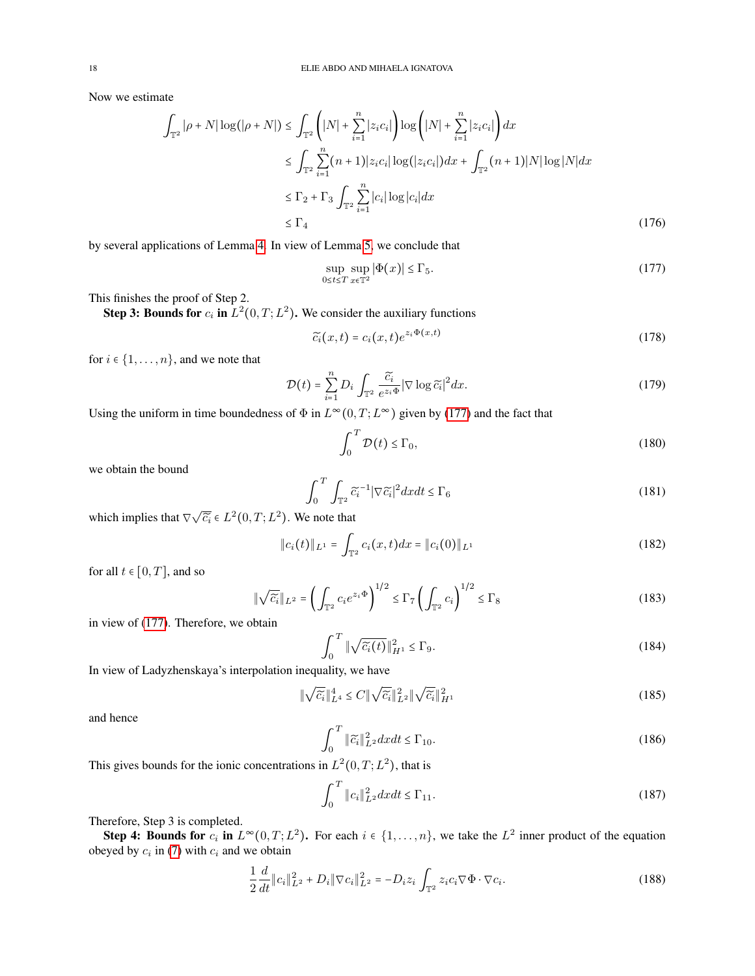Now we estimate

$$
\int_{\mathbb{T}^2} |\rho + N| \log(|\rho + N|) \le \int_{\mathbb{T}^2} \left( |N| + \sum_{i=1}^n |z_i c_i| \right) \log \left( |N| + \sum_{i=1}^n |z_i c_i| \right) dx
$$
  
\n
$$
\le \int_{\mathbb{T}^2} \sum_{i=1}^n (n+1) |z_i c_i| \log(|z_i c_i|) dx + \int_{\mathbb{T}^2} (n+1) |N| \log |N| dx
$$
  
\n
$$
\le \Gamma_2 + \Gamma_3 \int_{\mathbb{T}^2} \sum_{i=1}^n |c_i| \log |c_i| dx
$$
  
\n
$$
\le \Gamma_4
$$
\n(176)

by several applications of Lemma [4.](#page-14-5) In view of Lemma [5,](#page-14-6) we conclude that

<span id="page-17-0"></span>
$$
\sup_{0 \le t \le T} \sup_{x \in \mathbb{T}^2} |\Phi(x)| \le \Gamma_5. \tag{177}
$$

This finishes the proof of Step 2.

**Step 3: Bounds for**  $c_i$  in  $L^2(0,T;L^2)$ . We consider the auxiliary functions

$$
\widetilde{c_i}(x,t) = c_i(x,t)e^{z_i\Phi(x,t)}
$$
\n(178)

for  $i \in \{1, \ldots, n\}$ , and we note that

$$
\mathcal{D}(t) = \sum_{i=1}^{n} D_i \int_{\mathbb{T}^2} \frac{\widetilde{c_i}}{e^{z_i \Phi}} |\nabla \log \widetilde{c}_i|^2 dx.
$$
 (179)

Using the uniform in time boundedness of  $\Phi$  in  $L^{\infty}(0,T;L^{\infty})$  given by [\(177\)](#page-17-0) and the fact that

$$
\int_0^T \mathcal{D}(t) \le \Gamma_0,\tag{180}
$$

we obtain the bound

$$
\int_0^T \int_{\mathbb{T}^2} \widetilde{c}_i^{-1} |\nabla \widetilde{c}_i|^2 dx dt \le \Gamma_6 \tag{181}
$$

which implies that  $\nabla \sqrt{\tilde{c}_i} \in L^2(0,T; L^2)$ . We note that

$$
||c_i(t)||_{L^1} = \int_{\mathbb{T}^2} c_i(x,t) dx = ||c_i(0)||_{L^1}
$$
 (182)

for all  $t \in [0, T]$ , and so

$$
\|\sqrt{\widetilde{c}_i}\|_{L^2} = \left(\int_{\mathbb{T}^2} c_i e^{z_i \Phi}\right)^{1/2} \le \Gamma_7 \left(\int_{\mathbb{T}^2} c_i\right)^{1/2} \le \Gamma_8 \tag{183}
$$

in view of [\(177\)](#page-17-0). Therefore, we obtain

$$
\int_0^T \|\sqrt{\widetilde{c}_i(t)}\|_{H^1}^2 \le \Gamma_9. \tag{184}
$$

In view of Ladyzhenskaya's interpolation inequality, we have

$$
\|\sqrt{\widetilde{c}_i}\|_{L^4}^4 \le C\|\sqrt{\widetilde{c}_i}\|_{L^2}^2\|\sqrt{\widetilde{c}_i}\|_{H^1}^2 \tag{185}
$$

and hence

$$
\int_0^T \|\widetilde{c}_i\|_{L^2}^2 dx dt \le \Gamma_{10}.\tag{186}
$$

This gives bounds for the ionic concentrations in  $L^2(0,T; L^2)$ , that is

$$
\int_{0}^{T} \|c_{i}\|_{L^{2}}^{2} dx dt \leq \Gamma_{11}.
$$
\n(187)

Therefore, Step 3 is completed.

Step 4: Bounds for  $c_i$  in  $L^{\infty}(0,T;L^2)$ . For each  $i \in \{1,\ldots,n\}$ , we take the  $L^2$  inner product of the equation obeyed by  $c_i$  in [\(7\)](#page-1-1) with  $c_i$  and we obtain

$$
\frac{1}{2}\frac{d}{dt}\|c_i\|_{L^2}^2 + D_i \|\nabla c_i\|_{L^2}^2 = -D_i z_i \int_{\mathbb{T}^2} z_i c_i \nabla \Phi \cdot \nabla c_i.
$$
\n(188)